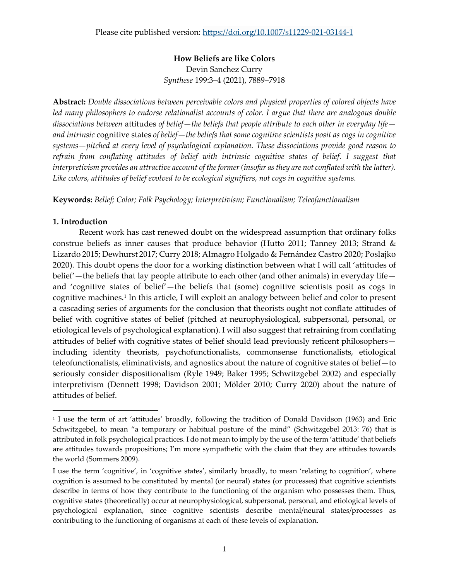**How Beliefs are like Colors** Devin Sanchez Curry *Synthese* 199:3–4 (2021), 7889–7918

**Abstract:** *Double dissociations between perceivable colors and physical properties of colored objects have led many philosophers to endorse relationalist accounts of color. I argue that there are analogous double dissociations between* attitudes *of belief—the beliefs that people attribute to each other in everyday life and intrinsic* cognitive states *of belief—the beliefs that some cognitive scientists posit as cogs in cognitive systems—pitched at every level of psychological explanation. These dissociations provide good reason to refrain from conflating attitudes of belief with intrinsic cognitive states of belief. I suggest that interpretivism provides an attractive account of the former (insofar as they are not conflated with the latter). Like colors, attitudes of belief evolved to be ecological signifiers, not cogs in cognitive systems.*

**Keywords:** *Belief; Color; Folk Psychology; Interpretivism; Functionalism; Teleofunctionalism*

# **1. Introduction**

Recent work has cast renewed doubt on the widespread assumption that ordinary folks construe beliefs as inner causes that produce behavior (Hutto 2011; Tanney 2013; Strand & Lizardo 2015; Dewhurst 2017; Curry 2018; Almagro Holgado & Fernández Castro 2020; Poslajko 2020). This doubt opens the door for a working distinction between what I will call 'attitudes of belief'—the beliefs that lay people attribute to each other (and other animals) in everyday life and 'cognitive states of belief'—the beliefs that (some) cognitive scientists posit as cogs in cognitive machines.<sup>[1](#page-0-0)</sup> In this article, I will exploit an analogy between belief and color to present a cascading series of arguments for the conclusion that theorists ought not conflate attitudes of belief with cognitive states of belief (pitched at neurophysiological, subpersonal, personal, or etiological levels of psychological explanation). I will also suggest that refraining from conflating attitudes of belief with cognitive states of belief should lead previously reticent philosophers including identity theorists, psychofunctionalists, commonsense functionalists, etiological teleofunctionalists, eliminativists, and agnostics about the nature of cognitive states of belief—to seriously consider dispositionalism (Ryle 1949; Baker 1995; Schwitzgebel 2002) and especially interpretivism (Dennett 1998; Davidson 2001; Mölder 2010; Curry 2020) about the nature of attitudes of belief.

<span id="page-0-0"></span><sup>1</sup> I use the term of art 'attitudes' broadly, following the tradition of Donald Davidson (1963) and Eric Schwitzgebel, to mean "a temporary or habitual posture of the mind" (Schwitzgebel 2013: 76) that is attributed in folk psychological practices. I do not mean to imply by the use of the term 'attitude' that beliefs are attitudes towards propositions; I'm more sympathetic with the claim that they are attitudes towards the world (Sommers 2009).

I use the term 'cognitive', in 'cognitive states', similarly broadly, to mean 'relating to cognition', where cognition is assumed to be constituted by mental (or neural) states (or processes) that cognitive scientists describe in terms of how they contribute to the functioning of the organism who possesses them. Thus, cognitive states (theoretically) occur at neurophysiological, subpersonal, personal, and etiological levels of psychological explanation, since cognitive scientists describe mental/neural states/processes as contributing to the functioning of organisms at each of these levels of explanation.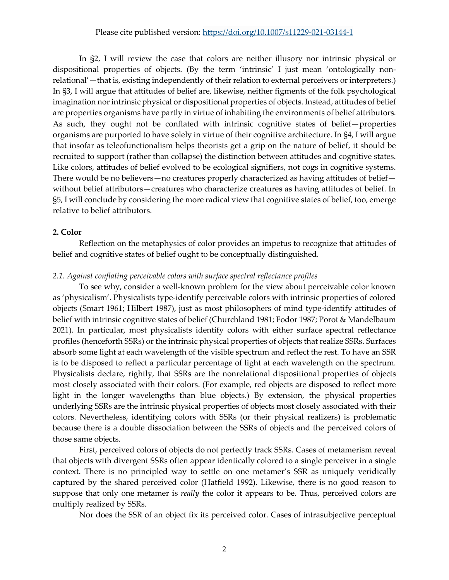# Please cite published version:<https://doi.org/10.1007/s11229-021-03144-1>

In §2, I will review the case that colors are neither illusory nor intrinsic physical or dispositional properties of objects. (By the term 'intrinsic' I just mean 'ontologically nonrelational'—that is, existing independently of their relation to external perceivers or interpreters.) In §3, I will argue that attitudes of belief are, likewise, neither figments of the folk psychological imagination nor intrinsic physical or dispositional properties of objects. Instead, attitudes of belief are properties organisms have partly in virtue of inhabiting the environments of belief attributors. As such, they ought not be conflated with intrinsic cognitive states of belief—properties organisms are purported to have solely in virtue of their cognitive architecture. In §4, I will argue that insofar as teleofunctionalism helps theorists get a grip on the nature of belief, it should be recruited to support (rather than collapse) the distinction between attitudes and cognitive states. Like colors, attitudes of belief evolved to be ecological signifiers, not cogs in cognitive systems. There would be no believers—no creatures properly characterized as having attitudes of belief without belief attributors—creatures who characterize creatures as having attitudes of belief. In §5, I will conclude by considering the more radical view that cognitive states of belief, too, emerge relative to belief attributors.

#### **2. Color**

Reflection on the metaphysics of color provides an impetus to recognize that attitudes of belief and cognitive states of belief ought to be conceptually distinguished.

#### *2.1. Against conflating perceivable colors with surface spectral reflectance profiles*

To see why, consider a well-known problem for the view about perceivable color known as 'physicalism'. Physicalists type-identify perceivable colors with intrinsic properties of colored objects (Smart 1961; Hilbert 1987), just as most philosophers of mind type-identify attitudes of belief with intrinsic cognitive states of belief (Churchland 1981; Fodor 1987; Porot & Mandelbaum 2021). In particular, most physicalists identify colors with either surface spectral reflectance profiles (henceforth SSRs) or the intrinsic physical properties of objects that realize SSRs. Surfaces absorb some light at each wavelength of the visible spectrum and reflect the rest. To have an SSR is to be disposed to reflect a particular percentage of light at each wavelength on the spectrum. Physicalists declare, rightly, that SSRs are the nonrelational dispositional properties of objects most closely associated with their colors. (For example, red objects are disposed to reflect more light in the longer wavelengths than blue objects.) By extension, the physical properties underlying SSRs are the intrinsic physical properties of objects most closely associated with their colors. Nevertheless, identifying colors with SSRs (or their physical realizers) is problematic because there is a double dissociation between the SSRs of objects and the perceived colors of those same objects.

First, perceived colors of objects do not perfectly track SSRs. Cases of metamerism reveal that objects with divergent SSRs often appear identically colored to a single perceiver in a single context. There is no principled way to settle on one metamer's SSR as uniquely veridically captured by the shared perceived color (Hatfield 1992). Likewise, there is no good reason to suppose that only one metamer is *really* the color it appears to be. Thus, perceived colors are multiply realized by SSRs.

Nor does the SSR of an object fix its perceived color. Cases of intrasubjective perceptual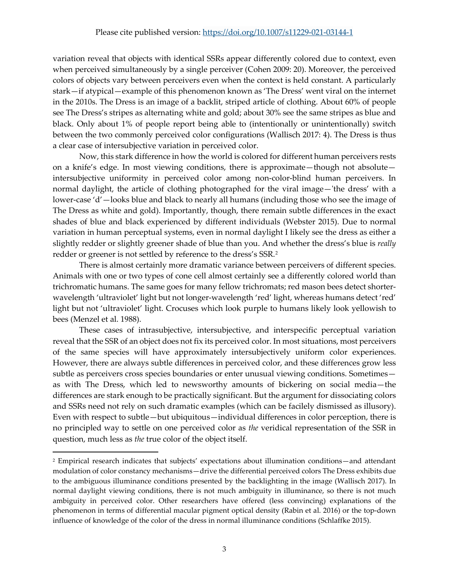variation reveal that objects with identical SSRs appear differently colored due to context, even when perceived simultaneously by a single perceiver (Cohen 2009: 20). Moreover, the perceived colors of objects vary between perceivers even when the context is held constant. A particularly stark—if atypical—example of this phenomenon known as 'The Dress' went viral on the internet in the 2010s. The Dress is an image of a backlit, striped article of clothing. About 60% of people see The Dress's stripes as alternating white and gold; about 30% see the same stripes as blue and black. Only about 1% of people report being able to (intentionally or unintentionally) switch between the two commonly perceived color configurations (Wallisch 2017: 4). The Dress is thus a clear case of intersubjective variation in perceived color.

Now, this stark difference in how the world is colored for different human perceivers rests on a knife's edge. In most viewing conditions, there is approximate—though not absolute intersubjective uniformity in perceived color among non-color-blind human perceivers. In normal daylight, the article of clothing photographed for the viral image—'the dress' with a lower-case 'd'—looks blue and black to nearly all humans (including those who see the image of The Dress as white and gold). Importantly, though, there remain subtle differences in the exact shades of blue and black experienced by different individuals (Webster 2015). Due to normal variation in human perceptual systems, even in normal daylight I likely see the dress as either a slightly redder or slightly greener shade of blue than you. And whether the dress's blue is *really*  redder or greener is not settled by reference to the dress's SSR.[2](#page-2-0)

There is almost certainly more dramatic variance between perceivers of different species. Animals with one or two types of cone cell almost certainly see a differently colored world than trichromatic humans. The same goes for many fellow trichromats; red mason bees detect shorterwavelength 'ultraviolet' light but not longer-wavelength 'red' light, whereas humans detect 'red' light but not 'ultraviolet' light. Crocuses which look purple to humans likely look yellowish to bees (Menzel et al. 1988).

These cases of intrasubjective, intersubjective, and interspecific perceptual variation reveal that the SSR of an object does not fix its perceived color. In most situations, most perceivers of the same species will have approximately intersubjectively uniform color experiences. However, there are always subtle differences in perceived color, and these differences grow less subtle as perceivers cross species boundaries or enter unusual viewing conditions. Sometimes as with The Dress, which led to newsworthy amounts of bickering on social media—the differences are stark enough to be practically significant. But the argument for dissociating colors and SSRs need not rely on such dramatic examples (which can be facilely dismissed as illusory). Even with respect to subtle—but ubiquitous—individual differences in color perception, there is no principled way to settle on one perceived color as *the* veridical representation of the SSR in question, much less as *the* true color of the object itself.

<span id="page-2-0"></span><sup>2</sup> Empirical research indicates that subjects' expectations about illumination conditions—and attendant modulation of color constancy mechanisms—drive the differential perceived colors The Dress exhibits due to the ambiguous illuminance conditions presented by the backlighting in the image (Wallisch 2017). In normal daylight viewing conditions, there is not much ambiguity in illuminance, so there is not much ambiguity in perceived color. Other researchers have offered (less convincing) explanations of the phenomenon in terms of differential macular pigment optical density (Rabin et al. 2016) or the top-down influence of knowledge of the color of the dress in normal illuminance conditions (Schlaffke 2015).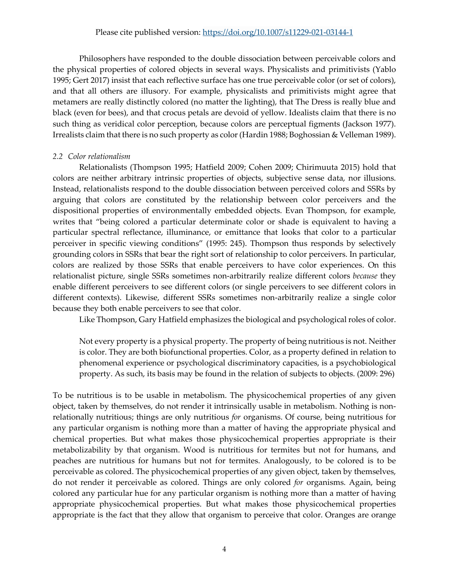Philosophers have responded to the double dissociation between perceivable colors and the physical properties of colored objects in several ways. Physicalists and primitivists (Yablo 1995; Gert 2017) insist that each reflective surface has one true perceivable color (or set of colors), and that all others are illusory. For example, physicalists and primitivists might agree that metamers are really distinctly colored (no matter the lighting), that The Dress is really blue and black (even for bees), and that crocus petals are devoid of yellow. Idealists claim that there is no such thing as veridical color perception, because colors are perceptual figments (Jackson 1977). Irrealists claim that there is no such property as color(Hardin 1988; Boghossian & Velleman 1989).

# *2.2 Color relationalism*

Relationalists (Thompson 1995; Hatfield 2009; Cohen 2009; Chirimuuta 2015) hold that colors are neither arbitrary intrinsic properties of objects, subjective sense data, nor illusions. Instead, relationalists respond to the double dissociation between perceived colors and SSRs by arguing that colors are constituted by the relationship between color perceivers and the dispositional properties of environmentally embedded objects. Evan Thompson, for example, writes that "being colored a particular determinate color or shade is equivalent to having a particular spectral reflectance, illuminance, or emittance that looks that color to a particular perceiver in specific viewing conditions" (1995: 245). Thompson thus responds by selectively grounding colors in SSRs that bear the right sort of relationship to color perceivers. In particular, colors are realized by those SSRs that enable perceivers to have color experiences. On this relationalist picture, single SSRs sometimes non-arbitrarily realize different colors *because* they enable different perceivers to see different colors (or single perceivers to see different colors in different contexts). Likewise, different SSRs sometimes non-arbitrarily realize a single color because they both enable perceivers to see that color.

Like Thompson, Gary Hatfield emphasizes the biological and psychological roles of color.

Not every property is a physical property. The property of being nutritious is not. Neither is color. They are both biofunctional properties. Color, as a property defined in relation to phenomenal experience or psychological discriminatory capacities, is a psychobiological property. As such, its basis may be found in the relation of subjects to objects. (2009: 296)

To be nutritious is to be usable in metabolism. The physicochemical properties of any given object, taken by themselves, do not render it intrinsically usable in metabolism. Nothing is nonrelationally nutritious; things are only nutritious *for* organisms. Of course, being nutritious for any particular organism is nothing more than a matter of having the appropriate physical and chemical properties. But what makes those physicochemical properties appropriate is their metabolizability by that organism. Wood is nutritious for termites but not for humans, and peaches are nutritious for humans but not for termites. Analogously, to be colored is to be perceivable as colored. The physicochemical properties of any given object, taken by themselves, do not render it perceivable as colored. Things are only colored *for* organisms. Again, being colored any particular hue for any particular organism is nothing more than a matter of having appropriate physicochemical properties. But what makes those physicochemical properties appropriate is the fact that they allow that organism to perceive that color. Oranges are orange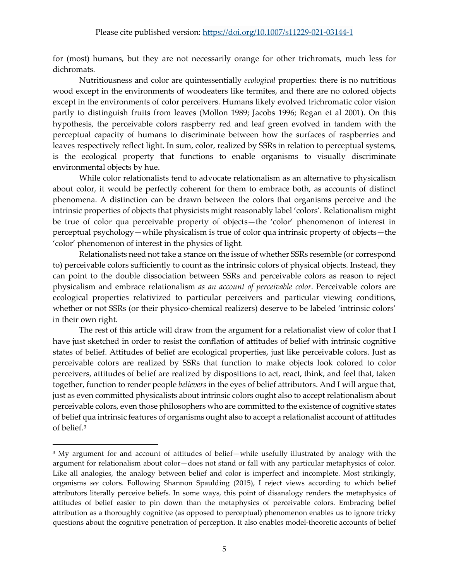for (most) humans, but they are not necessarily orange for other trichromats, much less for dichromats.

Nutritiousness and color are quintessentially *ecological* properties: there is no nutritious wood except in the environments of woodeaters like termites, and there are no colored objects except in the environments of color perceivers. Humans likely evolved trichromatic color vision partly to distinguish fruits from leaves (Mollon 1989; Jacobs 1996; Regan et al 2001). On this hypothesis, the perceivable colors raspberry red and leaf green evolved in tandem with the perceptual capacity of humans to discriminate between how the surfaces of raspberries and leaves respectively reflect light. In sum, color, realized by SSRs in relation to perceptual systems, is the ecological property that functions to enable organisms to visually discriminate environmental objects by hue.

While color relationalists tend to advocate relationalism as an alternative to physicalism about color, it would be perfectly coherent for them to embrace both, as accounts of distinct phenomena. A distinction can be drawn between the colors that organisms perceive and the intrinsic properties of objects that physicists might reasonably label 'colors'. Relationalism might be true of color qua perceivable property of objects—the 'color' phenomenon of interest in perceptual psychology—while physicalism is true of color qua intrinsic property of objects—the 'color' phenomenon of interest in the physics of light.

Relationalists need not take a stance on the issue of whether SSRs resemble (or correspond to) perceivable colors sufficiently to count as the intrinsic colors of physical objects. Instead, they can point to the double dissociation between SSRs and perceivable colors as reason to reject physicalism and embrace relationalism *as an account of perceivable color*. Perceivable colors are ecological properties relativized to particular perceivers and particular viewing conditions, whether or not SSRs (or their physico-chemical realizers) deserve to be labeled 'intrinsic colors' in their own right.

The rest of this article will draw from the argument for a relationalist view of color that I have just sketched in order to resist the conflation of attitudes of belief with intrinsic cognitive states of belief. Attitudes of belief are ecological properties, just like perceivable colors. Just as perceivable colors are realized by SSRs that function to make objects look colored to color perceivers, attitudes of belief are realized by dispositions to act, react, think, and feel that, taken together, function to render people *believers* in the eyes of belief attributors. And I will argue that, just as even committed physicalists about intrinsic colors ought also to accept relationalism about perceivable colors, even those philosophers who are committed to the existence of cognitive states of belief qua intrinsic features of organisms ought also to accept a relationalist account of attitudes of belief.[3](#page-4-0)

<span id="page-4-0"></span><sup>3</sup> My argument for and account of attitudes of belief—while usefully illustrated by analogy with the argument for relationalism about color—does not stand or fall with any particular metaphysics of color. Like all analogies, the analogy between belief and color is imperfect and incomplete. Most strikingly, organisms *see* colors. Following Shannon Spaulding (2015), I reject views according to which belief attributors literally perceive beliefs. In some ways, this point of disanalogy renders the metaphysics of attitudes of belief easier to pin down than the metaphysics of perceivable colors. Embracing belief attribution as a thoroughly cognitive (as opposed to perceptual) phenomenon enables us to ignore tricky questions about the cognitive penetration of perception. It also enables model-theoretic accounts of belief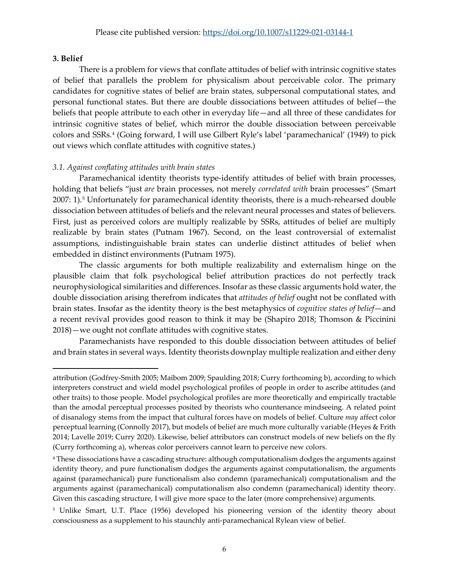## **3. Belief**

There is a problem for views that conflate attitudes of belief with intrinsic cognitive states of belief that parallels the problem for physicalism about perceivable color. The primary candidates for cognitive states of belief are brain states, subpersonal computational states, and personal functional states. But there are double dissociations between attitudes of belief—the beliefs that people attribute to each other in everyday life—and all three of these candidates for intrinsic cognitive states of belief, which mirror the double dissociation between perceivable colors and SSRs.[4](#page-5-0) (Going forward, I will use Gilbert Ryle's label 'paramechanical' (1949) to pick out views which conflate attitudes with cognitive states.)

# *3.1. Against conflating attitudes with brain states*

Paramechanical identity theorists type-identify attitudes of belief with brain processes, holding that beliefs "just *are* brain processes, not merely *correlated with* brain processes" (Smart 2007: 1).[5](#page-5-1) Unfortunately for paramechanical identity theorists, there is a much-rehearsed double dissociation between attitudes of beliefs and the relevant neural processes and states of believers. First, just as perceived colors are multiply realizable by SSRs, attitudes of belief are multiply realizable by brain states (Putnam 1967). Second, on the least controversial of externalist assumptions, indistinguishable brain states can underlie distinct attitudes of belief when embedded in distinct environments (Putnam 1975).

The classic arguments for both multiple realizability and externalism hinge on the plausible claim that folk psychological belief attribution practices do not perfectly track neurophysiological similarities and differences. Insofar as these classic arguments hold water, the double dissociation arising therefrom indicates that *attitudes of belief* ought not be conflated with brain states. Insofar as the identity theory is the best metaphysics of *cognitive states of belief*—and a recent revival provides good reason to think it may be (Shapiro 2018; Thomson & Piccinini 2018)—we ought not conflate attitudes with cognitive states.

Paramechanists have responded to this double dissociation between attitudes of belief and brain states in several ways. Identity theorists downplay multiple realization and either deny

attribution (Godfrey-Smith 2005; Maibom 2009; Spaulding 2018; Curry forthcoming b), according to which interpreters construct and wield model psychological profiles of people in order to ascribe attitudes (and other traits) to those people. Model psychological profiles are more theoretically and empirically tractable than the amodal perceptual processes posited by theorists who countenance mindseeing. A related point of disanalogy stems from the impact that cultural forces have on models of belief. Culture *may* affect color perceptual learning (Connolly 2017), but models of belief are much more culturally variable (Heyes & Frith 2014; Lavelle 2019; Curry 2020). Likewise, belief attributors can construct models of new beliefs on the fly (Curry forthcoming a), whereas color perceivers cannot learn to perceive new colors.

<span id="page-5-0"></span><sup>4</sup> These dissociations have a cascading structure: although computationalism dodges the arguments against identity theory, and pure functionalism dodges the arguments against computationalism, the arguments against (paramechanical) pure functionalism also condemn (paramechanical) computationalism and the arguments against (paramechanical) computationalism also condemn (paramechanical) identity theory. Given this cascading structure, I will give more space to the later (more comprehensive) arguments.

<span id="page-5-1"></span><sup>5</sup> Unlike Smart, U.T. Place (1956) developed his pioneering version of the identity theory about consciousness as a supplement to his staunchly anti-paramechanical Rylean view of belief.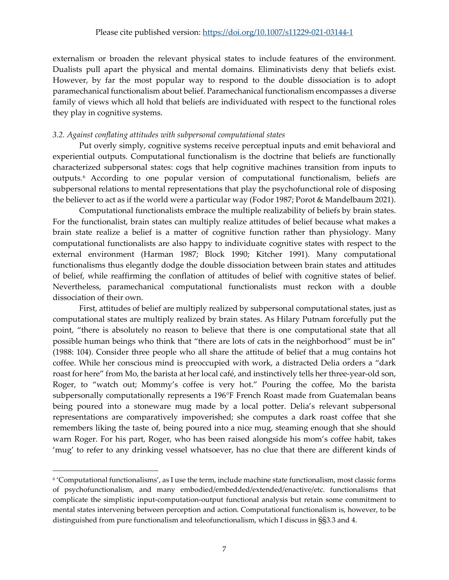externalism or broaden the relevant physical states to include features of the environment. Dualists pull apart the physical and mental domains. Eliminativists deny that beliefs exist. However, by far the most popular way to respond to the double dissociation is to adopt paramechanical functionalism about belief. Paramechanical functionalism encompasses a diverse family of views which all hold that beliefs are individuated with respect to the functional roles they play in cognitive systems.

## *3.2. Against conflating attitudes with subpersonal computational states*

Put overly simply, cognitive systems receive perceptual inputs and emit behavioral and experiential outputs. Computational functionalism is the doctrine that beliefs are functionally characterized subpersonal states: cogs that help cognitive machines transition from inputs to outputs.[6](#page-6-0) According to one popular version of computational functionalism, beliefs are subpersonal relations to mental representations that play the psychofunctional role of disposing the believer to act as if the world were a particular way (Fodor 1987; Porot & Mandelbaum 2021).

Computational functionalists embrace the multiple realizability of beliefs by brain states. For the functionalist, brain states can multiply realize attitudes of belief because what makes a brain state realize a belief is a matter of cognitive function rather than physiology. Many computational functionalists are also happy to individuate cognitive states with respect to the external environment (Harman 1987; Block 1990; Kitcher 1991). Many computational functionalisms thus elegantly dodge the double dissociation between brain states and attitudes of belief, while reaffirming the conflation of attitudes of belief with cognitive states of belief. Nevertheless, paramechanical computational functionalists must reckon with a double dissociation of their own.

First, attitudes of belief are multiply realized by subpersonal computational states, just as computational states are multiply realized by brain states. As Hilary Putnam forcefully put the point, "there is absolutely no reason to believe that there is one computational state that all possible human beings who think that "there are lots of cats in the neighborhood" must be in" (1988: 104). Consider three people who all share the attitude of belief that a mug contains hot coffee. While her conscious mind is preoccupied with work, a distracted Delia orders a "dark roast for here" from Mo, the barista at her local café, and instinctively tells her three-year-old son, Roger, to "watch out; Mommy's coffee is very hot." Pouring the coffee, Mo the barista subpersonally computationally represents a 196°F French Roast made from Guatemalan beans being poured into a stoneware mug made by a local potter. Delia's relevant subpersonal representations are comparatively impoverished; she computes a dark roast coffee that she remembers liking the taste of, being poured into a nice mug, steaming enough that she should warn Roger. For his part, Roger, who has been raised alongside his mom's coffee habit, takes 'mug' to refer to any drinking vessel whatsoever, has no clue that there are different kinds of

<span id="page-6-0"></span><sup>6</sup> 'Computational functionalisms', as I use the term, include machine state functionalism, most classic forms of psychofunctionalism, and many embodied/embedded/extended/enactive/etc. functionalisms that complicate the simplistic input-computation-output functional analysis but retain some commitment to mental states intervening between perception and action. Computational functionalism is, however, to be distinguished from pure functionalism and teleofunctionalism, which I discuss in §§3.3 and 4.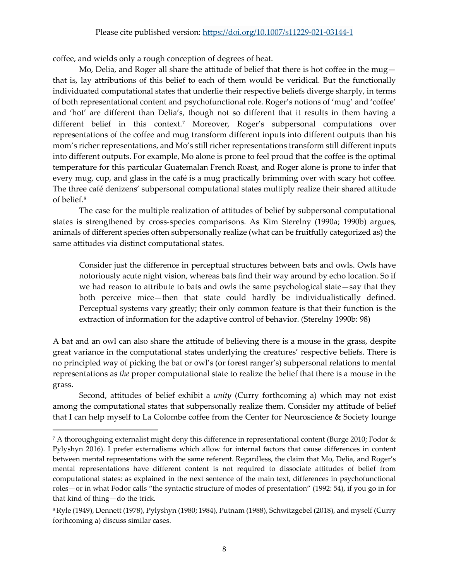coffee, and wields only a rough conception of degrees of heat.

Mo, Delia, and Roger all share the attitude of belief that there is hot coffee in the mug $$ that is, lay attributions of this belief to each of them would be veridical. But the functionally individuated computational states that underlie their respective beliefs diverge sharply, in terms of both representational content and psychofunctional role. Roger's notions of 'mug' and 'coffee' and 'hot' are different than Delia's, though not so different that it results in them having a different belief in this context.[7](#page-7-0) Moreover, Roger's subpersonal computations over representations of the coffee and mug transform different inputs into different outputs than his mom's richer representations, and Mo's still richer representations transform still different inputs into different outputs. For example, Mo alone is prone to feel proud that the coffee is the optimal temperature for this particular Guatemalan French Roast, and Roger alone is prone to infer that every mug, cup, and glass in the café is a mug practically brimming over with scary hot coffee. The three café denizens' subpersonal computational states multiply realize their shared attitude of belief[.8](#page-7-1)

The case for the multiple realization of attitudes of belief by subpersonal computational states is strengthened by cross-species comparisons. As Kim Sterelny (1990a; 1990b) argues, animals of different species often subpersonally realize (what can be fruitfully categorized as) the same attitudes via distinct computational states.

Consider just the difference in perceptual structures between bats and owls. Owls have notoriously acute night vision, whereas bats find their way around by echo location. So if we had reason to attribute to bats and owls the same psychological state—say that they both perceive mice—then that state could hardly be individualistically defined. Perceptual systems vary greatly; their only common feature is that their function is the extraction of information for the adaptive control of behavior. (Sterelny 1990b: 98)

A bat and an owl can also share the attitude of believing there is a mouse in the grass, despite great variance in the computational states underlying the creatures' respective beliefs. There is no principled way of picking the bat or owl's (or forest ranger's) subpersonal relations to mental representations as *the* proper computational state to realize the belief that there is a mouse in the grass.

Second, attitudes of belief exhibit a *unity* (Curry forthcoming a) which may not exist among the computational states that subpersonally realize them. Consider my attitude of belief that I can help myself to La Colombe coffee from the Center for Neuroscience & Society lounge

<span id="page-7-0"></span><sup>7</sup> A thoroughgoing externalist might deny this difference in representational content (Burge 2010; Fodor & Pylyshyn 2016). I prefer externalisms which allow for internal factors that cause differences in content between mental representations with the same referent. Regardless, the claim that Mo, Delia, and Roger's mental representations have different content is not required to dissociate attitudes of belief from computational states: as explained in the next sentence of the main text, differences in psychofunctional roles—or in what Fodor calls "the syntactic structure of modes of presentation" (1992: 54), if you go in for that kind of thing—do the trick.

<span id="page-7-1"></span><sup>8</sup> Ryle (1949), Dennett (1978), Pylyshyn (1980; 1984), Putnam (1988), Schwitzgebel (2018), and myself (Curry forthcoming a) discuss similar cases.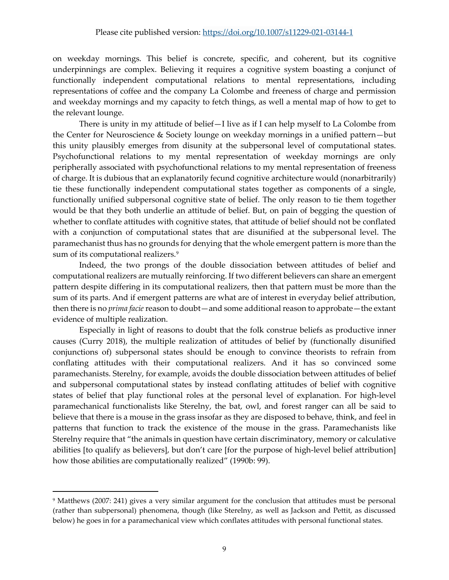on weekday mornings. This belief is concrete, specific, and coherent, but its cognitive underpinnings are complex. Believing it requires a cognitive system boasting a conjunct of functionally independent computational relations to mental representations, including representations of coffee and the company La Colombe and freeness of charge and permission and weekday mornings and my capacity to fetch things, as well a mental map of how to get to the relevant lounge.

There is unity in my attitude of belief—I live as if I can help myself to La Colombe from the Center for Neuroscience & Society lounge on weekday mornings in a unified pattern—but this unity plausibly emerges from disunity at the subpersonal level of computational states. Psychofunctional relations to my mental representation of weekday mornings are only peripherally associated with psychofunctional relations to my mental representation of freeness of charge. It is dubious that an explanatorily fecund cognitive architecture would (nonarbitrarily) tie these functionally independent computational states together as components of a single, functionally unified subpersonal cognitive state of belief. The only reason to tie them together would be that they both underlie an attitude of belief. But, on pain of begging the question of whether to conflate attitudes with cognitive states, that attitude of belief should not be conflated with a conjunction of computational states that are disunified at the subpersonal level. The paramechanist thus has no grounds for denying that the whole emergent pattern is more than the sum of its computational realizers.<sup>9</sup>

Indeed, the two prongs of the double dissociation between attitudes of belief and computational realizers are mutually reinforcing. If two different believers can share an emergent pattern despite differing in its computational realizers, then that pattern must be more than the sum of its parts. And if emergent patterns are what are of interest in everyday belief attribution, then there is no *prima facie* reason to doubt—and some additional reason to approbate—the extant evidence of multiple realization.

Especially in light of reasons to doubt that the folk construe beliefs as productive inner causes (Curry 2018), the multiple realization of attitudes of belief by (functionally disunified conjunctions of) subpersonal states should be enough to convince theorists to refrain from conflating attitudes with their computational realizers. And it has so convinced some paramechanists. Sterelny, for example, avoids the double dissociation between attitudes of belief and subpersonal computational states by instead conflating attitudes of belief with cognitive states of belief that play functional roles at the personal level of explanation. For high-level paramechanical functionalists like Sterelny, the bat, owl, and forest ranger can all be said to believe that there is a mouse in the grass insofar as they are disposed to behave, think, and feel in patterns that function to track the existence of the mouse in the grass. Paramechanists like Sterelny require that "the animals in question have certain discriminatory, memory or calculative abilities [to qualify as believers], but don't care [for the purpose of high-level belief attribution] how those abilities are computationally realized" (1990b: 99).

<span id="page-8-0"></span><sup>9</sup> Matthews (2007: 241) gives a very similar argument for the conclusion that attitudes must be personal (rather than subpersonal) phenomena, though (like Sterelny, as well as Jackson and Pettit, as discussed below) he goes in for a paramechanical view which conflates attitudes with personal functional states.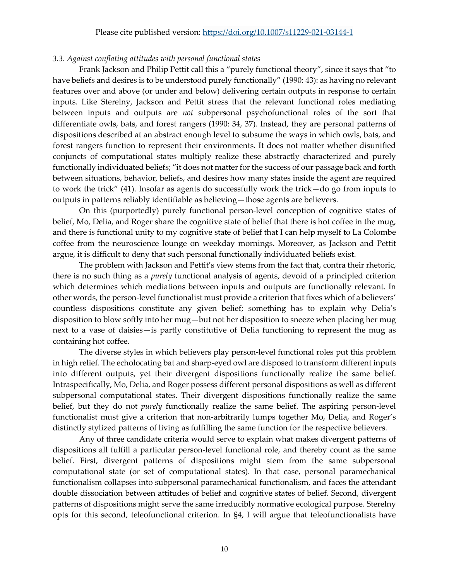### Please cite published version:<https://doi.org/10.1007/s11229-021-03144-1>

#### *3.3. Against conflating attitudes with personal functional states*

Frank Jackson and Philip Pettit call this a "purely functional theory", since it says that "to have beliefs and desires is to be understood purely functionally" (1990: 43): as having no relevant features over and above (or under and below) delivering certain outputs in response to certain inputs. Like Sterelny, Jackson and Pettit stress that the relevant functional roles mediating between inputs and outputs are *not* subpersonal psychofunctional roles of the sort that differentiate owls, bats, and forest rangers (1990: 34, 37). Instead, they are personal patterns of dispositions described at an abstract enough level to subsume the ways in which owls, bats, and forest rangers function to represent their environments. It does not matter whether disunified conjuncts of computational states multiply realize these abstractly characterized and purely functionally individuated beliefs; "it does not matter for the success of our passage back and forth between situations, behavior, beliefs, and desires how many states inside the agent are required to work the trick" (41). Insofar as agents do successfully work the trick—do go from inputs to outputs in patterns reliably identifiable as believing—those agents are believers.

On this (purportedly) purely functional person-level conception of cognitive states of belief, Mo, Delia, and Roger share the cognitive state of belief that there is hot coffee in the mug, and there is functional unity to my cognitive state of belief that I can help myself to La Colombe coffee from the neuroscience lounge on weekday mornings. Moreover, as Jackson and Pettit argue, it is difficult to deny that such personal functionally individuated beliefs exist.

The problem with Jackson and Pettit's view stems from the fact that, contra their rhetoric, there is no such thing as a *purely* functional analysis of agents, devoid of a principled criterion which determines which mediations between inputs and outputs are functionally relevant. In other words, the person-level functionalist must provide a criterion that fixes which of a believers' countless dispositions constitute any given belief; something has to explain why Delia's disposition to blow softly into her mug—but not her disposition to sneeze when placing her mug next to a vase of daisies—is partly constitutive of Delia functioning to represent the mug as containing hot coffee.

The diverse styles in which believers play person-level functional roles put this problem in high relief. The echolocating bat and sharp-eyed owl are disposed to transform different inputs into different outputs, yet their divergent dispositions functionally realize the same belief. Intraspecifically, Mo, Delia, and Roger possess different personal dispositions as well as different subpersonal computational states. Their divergent dispositions functionally realize the same belief, but they do not *purely* functionally realize the same belief. The aspiring person-level functionalist must give a criterion that non-arbitrarily lumps together Mo, Delia, and Roger's distinctly stylized patterns of living as fulfilling the same function for the respective believers.

Any of three candidate criteria would serve to explain what makes divergent patterns of dispositions all fulfill a particular person-level functional role, and thereby count as the same belief. First, divergent patterns of dispositions might stem from the same subpersonal computational state (or set of computational states). In that case, personal paramechanical functionalism collapses into subpersonal paramechanical functionalism, and faces the attendant double dissociation between attitudes of belief and cognitive states of belief. Second, divergent patterns of dispositions might serve the same irreducibly normative ecological purpose. Sterelny opts for this second, teleofunctional criterion. In §4, I will argue that teleofunctionalists have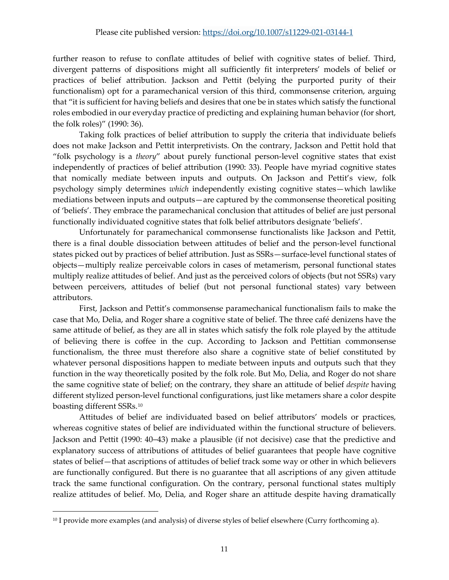further reason to refuse to conflate attitudes of belief with cognitive states of belief. Third, divergent patterns of dispositions might all sufficiently fit interpreters' models of belief or practices of belief attribution. Jackson and Pettit (belying the purported purity of their functionalism) opt for a paramechanical version of this third, commonsense criterion, arguing that "it is sufficient for having beliefs and desires that one be in states which satisfy the functional roles embodied in our everyday practice of predicting and explaining human behavior (for short, the folk roles)" (1990: 36).

Taking folk practices of belief attribution to supply the criteria that individuate beliefs does not make Jackson and Pettit interpretivists. On the contrary, Jackson and Pettit hold that "folk psychology is a *theory*" about purely functional person-level cognitive states that exist independently of practices of belief attribution (1990: 33). People have myriad cognitive states that nomically mediate between inputs and outputs. On Jackson and Pettit's view, folk psychology simply determines *which* independently existing cognitive states—which lawlike mediations between inputs and outputs—are captured by the commonsense theoretical positing of 'beliefs'. They embrace the paramechanical conclusion that attitudes of belief are just personal functionally individuated cognitive states that folk belief attributors designate 'beliefs'.

Unfortunately for paramechanical commonsense functionalists like Jackson and Pettit, there is a final double dissociation between attitudes of belief and the person-level functional states picked out by practices of belief attribution. Just as SSRs—surface-level functional states of objects—multiply realize perceivable colors in cases of metamerism, personal functional states multiply realize attitudes of belief. And just as the perceived colors of objects (but not SSRs) vary between perceivers, attitudes of belief (but not personal functional states) vary between attributors.

First, Jackson and Pettit's commonsense paramechanical functionalism fails to make the case that Mo, Delia, and Roger share a cognitive state of belief. The three café denizens have the same attitude of belief, as they are all in states which satisfy the folk role played by the attitude of believing there is coffee in the cup. According to Jackson and Pettitian commonsense functionalism, the three must therefore also share a cognitive state of belief constituted by whatever personal dispositions happen to mediate between inputs and outputs such that they function in the way theoretically posited by the folk role. But Mo, Delia, and Roger do not share the same cognitive state of belief; on the contrary, they share an attitude of belief *despite* having different stylized person-level functional configurations, just like metamers share a color despite boasting different SSRs.[10](#page-10-0)

Attitudes of belief are individuated based on belief attributors' models or practices, whereas cognitive states of belief are individuated within the functional structure of believers. Jackson and Pettit (1990: 40–43) make a plausible (if not decisive) case that the predictive and explanatory success of attributions of attitudes of belief guarantees that people have cognitive states of belief—that ascriptions of attitudes of belief track some way or other in which believers are functionally configured. But there is no guarantee that all ascriptions of any given attitude track the same functional configuration. On the contrary, personal functional states multiply realize attitudes of belief. Mo, Delia, and Roger share an attitude despite having dramatically

<span id="page-10-0"></span><sup>&</sup>lt;sup>10</sup> I provide more examples (and analysis) of diverse styles of belief elsewhere (Curry forthcoming a).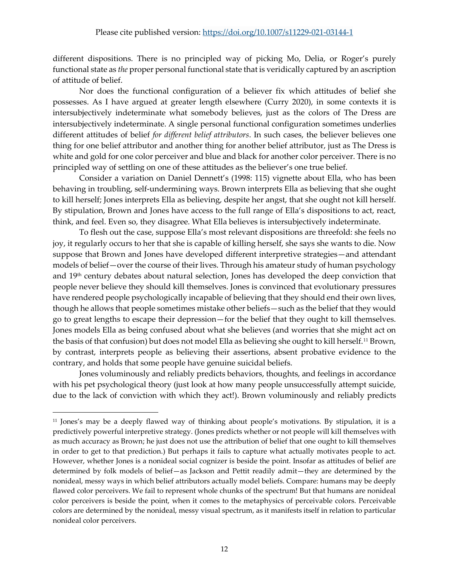different dispositions. There is no principled way of picking Mo, Delia, or Roger's purely functional state as *the* proper personal functional state that is veridically captured by an ascription of attitude of belief.

Nor does the functional configuration of a believer fix which attitudes of belief she possesses. As I have argued at greater length elsewhere (Curry 2020), in some contexts it is intersubjectively indeterminate what somebody believes, just as the colors of The Dress are intersubjectively indeterminate. A single personal functional configuration sometimes underlies different attitudes of belief *for different belief attributors*. In such cases, the believer believes one thing for one belief attributor and another thing for another belief attributor, just as The Dress is white and gold for one color perceiver and blue and black for another color perceiver. There is no principled way of settling on one of these attitudes as the believer's one true belief.

Consider a variation on Daniel Dennett's (1998: 115) vignette about Ella, who has been behaving in troubling, self-undermining ways. Brown interprets Ella as believing that she ought to kill herself; Jones interprets Ella as believing, despite her angst, that she ought not kill herself. By stipulation, Brown and Jones have access to the full range of Ella's dispositions to act, react, think, and feel. Even so, they disagree. What Ella believes is intersubjectively indeterminate.

To flesh out the case, suppose Ella's most relevant dispositions are threefold: she feels no joy, it regularly occurs to her that she is capable of killing herself, she says she wants to die. Now suppose that Brown and Jones have developed different interpretive strategies—and attendant models of belief—over the course of their lives. Through his amateur study of human psychology and 19th century debates about natural selection, Jones has developed the deep conviction that people never believe they should kill themselves. Jones is convinced that evolutionary pressures have rendered people psychologically incapable of believing that they should end their own lives, though he allows that people sometimes mistake other beliefs—such as the belief that they would go to great lengths to escape their depression—for the belief that they ought to kill themselves. Jones models Ella as being confused about what she believes (and worries that she might act on the basis of that confusion) but does not model Ella as believing she ought to kill herself.[11](#page-11-0) Brown, by contrast, interprets people as believing their assertions, absent probative evidence to the contrary, and holds that some people have genuine suicidal beliefs.

Jones voluminously and reliably predicts behaviors, thoughts, and feelings in accordance with his pet psychological theory (just look at how many people unsuccessfully attempt suicide, due to the lack of conviction with which they act!). Brown voluminously and reliably predicts

<span id="page-11-0"></span><sup>11</sup> Jones's may be a deeply flawed way of thinking about people's motivations. By stipulation, it is a predictively powerful interpretive strategy. (Jones predicts whether or not people will kill themselves with as much accuracy as Brown; he just does not use the attribution of belief that one ought to kill themselves in order to get to that prediction.) But perhaps it fails to capture what actually motivates people to act. However, whether Jones is a nonideal social cognizer is beside the point. Insofar as attitudes of belief are determined by folk models of belief—as Jackson and Pettit readily admit—they are determined by the nonideal, messy ways in which belief attributors actually model beliefs. Compare: humans may be deeply flawed color perceivers. We fail to represent whole chunks of the spectrum! But that humans are nonideal color perceivers is beside the point, when it comes to the metaphysics of perceivable colors. Perceivable colors are determined by the nonideal, messy visual spectrum, as it manifests itself in relation to particular nonideal color perceivers.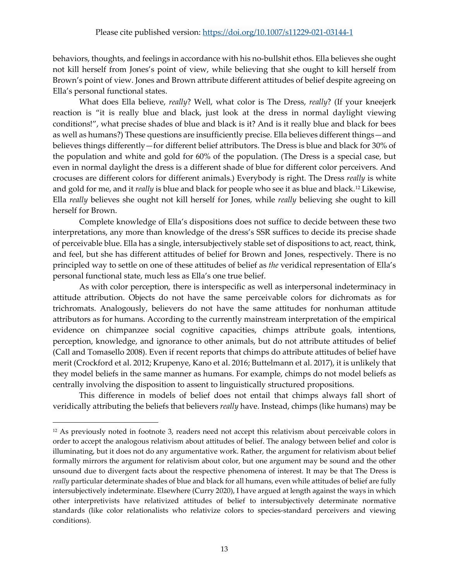behaviors, thoughts, and feelings in accordance with his no-bullshit ethos. Ella believes she ought not kill herself from Jones's point of view, while believing that she ought to kill herself from Brown's point of view. Jones and Brown attribute different attitudes of belief despite agreeing on Ella's personal functional states.

What does Ella believe, *really*? Well, what color is The Dress, *really*? (If your kneejerk reaction is "it is really blue and black, just look at the dress in normal daylight viewing conditions!", what precise shades of blue and black is it? And is it really blue and black for bees as well as humans?) These questions are insufficiently precise. Ella believes different things—and believes things differently—for different belief attributors. The Dress is blue and black for 30% of the population and white and gold for 60% of the population. (The Dress is a special case, but even in normal daylight the dress is a different shade of blue for different color perceivers. And crocuses are different colors for different animals.) Everybody is right. The Dress *really* is white and gold for me, and it *really* is blue and black for people who see it as blue and black.[12](#page-12-0) Likewise, Ella *really* believes she ought not kill herself for Jones, while *really* believing she ought to kill herself for Brown.

Complete knowledge of Ella's dispositions does not suffice to decide between these two interpretations, any more than knowledge of the dress's SSR suffices to decide its precise shade of perceivable blue. Ella has a single, intersubjectively stable set of dispositions to act, react, think, and feel, but she has different attitudes of belief for Brown and Jones, respectively. There is no principled way to settle on one of these attitudes of belief as *the* veridical representation of Ella's personal functional state, much less as Ella's one true belief.

As with color perception, there is interspecific as well as interpersonal indeterminacy in attitude attribution. Objects do not have the same perceivable colors for dichromats as for trichromats. Analogously, believers do not have the same attitudes for nonhuman attitude attributors as for humans. According to the currently mainstream interpretation of the empirical evidence on chimpanzee social cognitive capacities, chimps attribute goals, intentions, perception, knowledge, and ignorance to other animals, but do not attribute attitudes of belief (Call and Tomasello 2008). Even if recent reports that chimps do attribute attitudes of belief have merit (Crockford et al. 2012; Krupenye, Kano et al. 2016; Buttelmann et al. 2017), it is unlikely that they model beliefs in the same manner as humans. For example, chimps do not model beliefs as centrally involving the disposition to assent to linguistically structured propositions.

This difference in models of belief does not entail that chimps always fall short of veridically attributing the beliefs that believers *really* have. Instead, chimps (like humans) may be

<span id="page-12-0"></span><sup>&</sup>lt;sup>12</sup> As previously noted in footnote 3, readers need not accept this relativism about perceivable colors in order to accept the analogous relativism about attitudes of belief. The analogy between belief and color is illuminating, but it does not do any argumentative work. Rather, the argument for relativism about belief formally mirrors the argument for relativism about color, but one argument may be sound and the other unsound due to divergent facts about the respective phenomena of interest. It may be that The Dress is *really* particular determinate shades of blue and black for all humans, even while attitudes of belief are fully intersubjectively indeterminate. Elsewhere (Curry 2020), I have argued at length against the ways in which other interpretivists have relativized attitudes of belief to intersubjectively determinate normative standards (like color relationalists who relativize colors to species-standard perceivers and viewing conditions).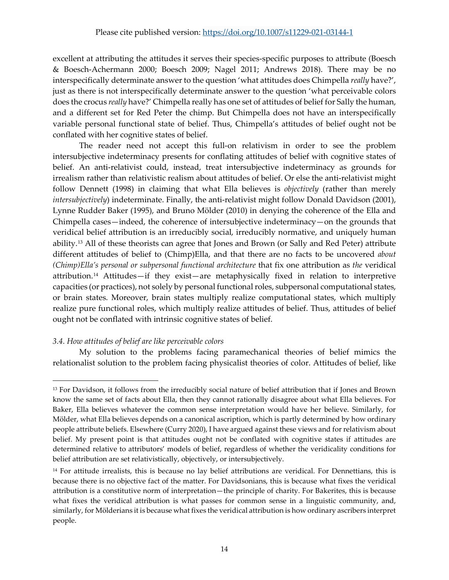excellent at attributing the attitudes it serves their species-specific purposes to attribute (Boesch & Boesch-Achermann 2000; Boesch 2009; Nagel 2011; Andrews 2018). There may be no interspecifically determinate answer to the question 'what attitudes does Chimpella *really* have?', just as there is not interspecifically determinate answer to the question 'what perceivable colors does the crocus *really* have?' Chimpella really has one set of attitudes of belief for Sally the human, and a different set for Red Peter the chimp. But Chimpella does not have an interspecifically variable personal functional state of belief. Thus, Chimpella's attitudes of belief ought not be conflated with her cognitive states of belief.

The reader need not accept this full-on relativism in order to see the problem intersubjective indeterminacy presents for conflating attitudes of belief with cognitive states of belief. An anti-relativist could, instead, treat intersubjective indeterminacy as grounds for irrealism rather than relativistic realism about attitudes of belief. Or else the anti-relativist might follow Dennett (1998) in claiming that what Ella believes is *objectively* (rather than merely *intersubjectively*) indeterminate. Finally, the anti-relativist might follow Donald Davidson (2001), Lynne Rudder Baker (1995), and Bruno Mölder (2010) in denying the coherence of the Ella and Chimpella cases—indeed, the coherence of intersubjective indeterminacy—on the grounds that veridical belief attribution is an irreducibly social, irreducibly normative, and uniquely human ability.[13](#page-13-0) All of these theorists can agree that Jones and Brown (or Sally and Red Peter) attribute different attitudes of belief to (Chimp)Ella, and that there are no facts to be uncovered *about (Chimp)Ella's personal or subpersonal functional architecture* that fix one attribution as *the* veridical attribution.[14](#page-13-1) Attitudes—if they exist—are metaphysically fixed in relation to interpretive capacities (or practices), not solely by personal functional roles, subpersonal computational states, or brain states. Moreover, brain states multiply realize computational states, which multiply realize pure functional roles, which multiply realize attitudes of belief. Thus, attitudes of belief ought not be conflated with intrinsic cognitive states of belief.

# *3.4. How attitudes of belief are like perceivable colors*

My solution to the problems facing paramechanical theories of belief mimics the relationalist solution to the problem facing physicalist theories of color. Attitudes of belief, like

<span id="page-13-0"></span><sup>13</sup> For Davidson, it follows from the irreducibly social nature of belief attribution that if Jones and Brown know the same set of facts about Ella, then they cannot rationally disagree about what Ella believes. For Baker, Ella believes whatever the common sense interpretation would have her believe. Similarly, for Mölder, what Ella believes depends on a canonical ascription, which is partly determined by how ordinary people attribute beliefs. Elsewhere (Curry 2020), I have argued against these views and for relativism about belief. My present point is that attitudes ought not be conflated with cognitive states if attitudes are determined relative to attributors' models of belief, regardless of whether the veridicality conditions for belief attribution are set relativistically, objectively, or intersubjectively.

<span id="page-13-1"></span><sup>&</sup>lt;sup>14</sup> For attitude irrealists, this is because no lay belief attributions are veridical. For Dennettians, this is because there is no objective fact of the matter. For Davidsonians, this is because what fixes the veridical attribution is a constitutive norm of interpretation—the principle of charity. For Bakerites, this is because what fixes the veridical attribution is what passes for common sense in a linguistic community, and, similarly, for Mölderians it is because what fixes the veridical attribution is how ordinary ascribers interpret people.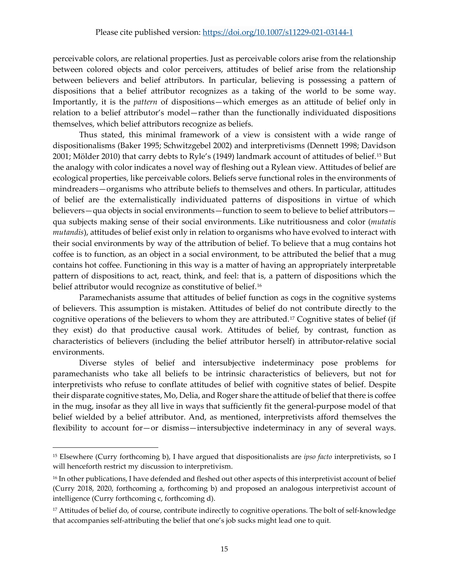perceivable colors, are relational properties. Just as perceivable colors arise from the relationship between colored objects and color perceivers, attitudes of belief arise from the relationship between believers and belief attributors. In particular, believing is possessing a pattern of dispositions that a belief attributor recognizes as a taking of the world to be some way. Importantly, it is the *pattern* of dispositions—which emerges as an attitude of belief only in relation to a belief attributor's model—rather than the functionally individuated dispositions themselves, which belief attributors recognize as beliefs.

Thus stated, this minimal framework of a view is consistent with a wide range of dispositionalisms (Baker 1995; Schwitzgebel 2002) and interpretivisms (Dennett 1998; Davidson 2001; Mölder 2010) that carry debts to Ryle's (1949) landmark account of attitudes of belief.[15](#page-14-0) But the analogy with color indicates a novel way of fleshing out a Rylean view. Attitudes of belief are ecological properties, like perceivable colors. Beliefs serve functional roles in the environments of mindreaders—organisms who attribute beliefs to themselves and others. In particular, attitudes of belief are the externalistically individuated patterns of dispositions in virtue of which believers—qua objects in social environments—function to seem to believe to belief attributors qua subjects making sense of their social environments. Like nutritiousness and color (*mutatis mutandis*), attitudes of belief exist only in relation to organisms who have evolved to interact with their social environments by way of the attribution of belief. To believe that a mug contains hot coffee is to function, as an object in a social environment, to be attributed the belief that a mug contains hot coffee. Functioning in this way is a matter of having an appropriately interpretable pattern of dispositions to act, react, think, and feel: that is, a pattern of dispositions which the belief attributor would recognize as constitutive of belief.<sup>[16](#page-14-1)</sup>

Paramechanists assume that attitudes of belief function as cogs in the cognitive systems of believers. This assumption is mistaken. Attitudes of belief do not contribute directly to the cognitive operations of the believers to whom they are attributed.[17](#page-14-2) Cognitive states of belief (if they exist) do that productive causal work. Attitudes of belief, by contrast, function as characteristics of believers (including the belief attributor herself) in attributor-relative social environments.

Diverse styles of belief and intersubjective indeterminacy pose problems for paramechanists who take all beliefs to be intrinsic characteristics of believers, but not for interpretivists who refuse to conflate attitudes of belief with cognitive states of belief. Despite their disparate cognitive states, Mo, Delia, and Roger share the attitude of belief that there is coffee in the mug, insofar as they all live in ways that sufficiently fit the general-purpose model of that belief wielded by a belief attributor. And, as mentioned, interpretivists afford themselves the flexibility to account for—or dismiss—intersubjective indeterminacy in any of several ways.

<span id="page-14-0"></span><sup>15</sup> Elsewhere (Curry forthcoming b), I have argued that dispositionalists are *ipso facto* interpretivists, so I will henceforth restrict my discussion to interpretivism.

<span id="page-14-1"></span><sup>&</sup>lt;sup>16</sup> In other publications, I have defended and fleshed out other aspects of this interpretivist account of belief (Curry 2018, 2020, forthcoming a, forthcoming b) and proposed an analogous interpretivist account of intelligence (Curry forthcoming c, forthcoming d).

<span id="page-14-2"></span><sup>&</sup>lt;sup>17</sup> Attitudes of belief do, of course, contribute indirectly to cognitive operations. The bolt of self-knowledge that accompanies self-attributing the belief that one's job sucks might lead one to quit.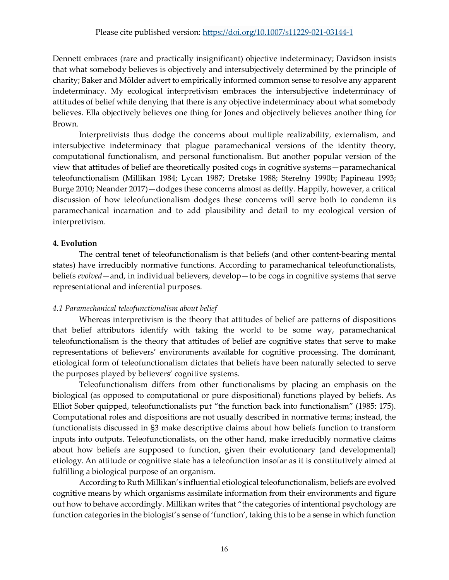Dennett embraces (rare and practically insignificant) objective indeterminacy; Davidson insists that what somebody believes is objectively and intersubjectively determined by the principle of charity; Baker and Mölder advert to empirically informed common sense to resolve any apparent indeterminacy. My ecological interpretivism embraces the intersubjective indeterminacy of attitudes of belief while denying that there is any objective indeterminacy about what somebody believes. Ella objectively believes one thing for Jones and objectively believes another thing for Brown.

Interpretivists thus dodge the concerns about multiple realizability, externalism, and intersubjective indeterminacy that plague paramechanical versions of the identity theory, computational functionalism, and personal functionalism. But another popular version of the view that attitudes of belief are theoretically posited cogs in cognitive systems—paramechanical teleofunctionalism (Millikan 1984; Lycan 1987; Dretske 1988; Sterelny 1990b; Papineau 1993; Burge 2010; Neander 2017)—dodges these concerns almost as deftly. Happily, however, a critical discussion of how teleofunctionalism dodges these concerns will serve both to condemn its paramechanical incarnation and to add plausibility and detail to my ecological version of interpretivism.

# **4. Evolution**

The central tenet of teleofunctionalism is that beliefs (and other content-bearing mental states) have irreducibly normative functions. According to paramechanical teleofunctionalists, beliefs *evolved—*and, in individual believers, develop—to be cogs in cognitive systems that serve representational and inferential purposes.

# *4.1 Paramechanical teleofunctionalism about belief*

Whereas interpretivism is the theory that attitudes of belief are patterns of dispositions that belief attributors identify with taking the world to be some way, paramechanical teleofunctionalism is the theory that attitudes of belief are cognitive states that serve to make representations of believers' environments available for cognitive processing. The dominant, etiological form of teleofunctionalism dictates that beliefs have been naturally selected to serve the purposes played by believers' cognitive systems.

Teleofunctionalism differs from other functionalisms by placing an emphasis on the biological (as opposed to computational or pure dispositional) functions played by beliefs. As Elliot Sober quipped, teleofunctionalists put "the function back into functionalism" (1985: 175). Computational roles and dispositions are not usually described in normative terms; instead, the functionalists discussed in §3 make descriptive claims about how beliefs function to transform inputs into outputs. Teleofunctionalists, on the other hand, make irreducibly normative claims about how beliefs are supposed to function, given their evolutionary (and developmental) etiology. An attitude or cognitive state has a teleofunction insofar as it is constitutively aimed at fulfilling a biological purpose of an organism.

According to Ruth Millikan's influential etiological teleofunctionalism, beliefs are evolved cognitive means by which organisms assimilate information from their environments and figure out how to behave accordingly. Millikan writes that "the categories of intentional psychology are function categories in the biologist's sense of 'function', taking this to be a sense in which function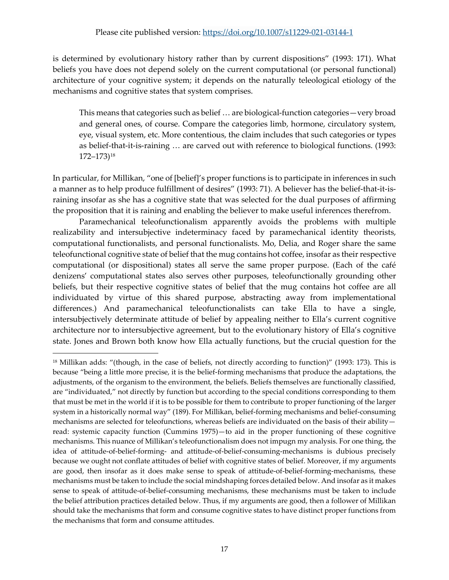is determined by evolutionary history rather than by current dispositions" (1993: 171). What beliefs you have does not depend solely on the current computational (or personal functional) architecture of your cognitive system; it depends on the naturally teleological etiology of the mechanisms and cognitive states that system comprises.

This means that categories such as belief … are biological-function categories—very broad and general ones, of course. Compare the categories limb, hormone, circulatory system, eye, visual system, etc. More contentious, the claim includes that such categories or types as belief-that-it-is-raining … are carved out with reference to biological functions. (1993: 172–173)[18](#page-16-0)

In particular, for Millikan, "one of [belief]'s proper functions is to participate in inferences in such a manner as to help produce fulfillment of desires" (1993: 71). A believer has the belief-that-it-israining insofar as she has a cognitive state that was selected for the dual purposes of affirming the proposition that it is raining and enabling the believer to make useful inferences therefrom.

Paramechanical teleofunctionalism apparently avoids the problems with multiple realizability and intersubjective indeterminacy faced by paramechanical identity theorists, computational functionalists, and personal functionalists. Mo, Delia, and Roger share the same teleofunctional cognitive state of belief that the mug contains hot coffee, insofar as their respective computational (or dispositional) states all serve the same proper purpose. (Each of the café denizens' computational states also serves other purposes, teleofunctionally grounding other beliefs, but their respective cognitive states of belief that the mug contains hot coffee are all individuated by virtue of this shared purpose, abstracting away from implementational differences.) And paramechanical teleofunctionalists can take Ella to have a single, intersubjectively determinate attitude of belief by appealing neither to Ella's current cognitive architecture nor to intersubjective agreement, but to the evolutionary history of Ella's cognitive state. Jones and Brown both know how Ella actually functions, but the crucial question for the

<span id="page-16-0"></span><sup>18</sup> Millikan adds: "(though, in the case of beliefs, not directly according to function)" (1993: 173). This is because "being a little more precise, it is the belief-forming mechanisms that produce the adaptations, the adjustments, of the organism to the environment, the beliefs. Beliefs themselves are functionally classified, are "individuated," not directly by function but according to the special conditions corresponding to them that must be met in the world if it is to be possible for them to contribute to proper functioning of the larger system in a historically normal way" (189). For Millikan, belief-forming mechanisms and belief-consuming mechanisms are selected for teleofunctions, whereas beliefs are individuated on the basis of their ability read: systemic capacity function (Cummins 1975)—to aid in the proper functioning of these cognitive mechanisms. This nuance of Millikan's teleofunctionalism does not impugn my analysis. For one thing, the idea of attitude-of-belief-forming- and attitude-of-belief-consuming-mechanisms is dubious precisely because we ought not conflate attitudes of belief with cognitive states of belief. Moreover, if my arguments are good, then insofar as it does make sense to speak of attitude-of-belief-forming-mechanisms, these mechanisms must be taken to include the social mindshaping forces detailed below. And insofar as it makes sense to speak of attitude-of-belief-consuming mechanisms, these mechanisms must be taken to include the belief attribution practices detailed below. Thus, if my arguments are good, then a follower of Millikan should take the mechanisms that form and consume cognitive states to have distinct proper functions from the mechanisms that form and consume attitudes.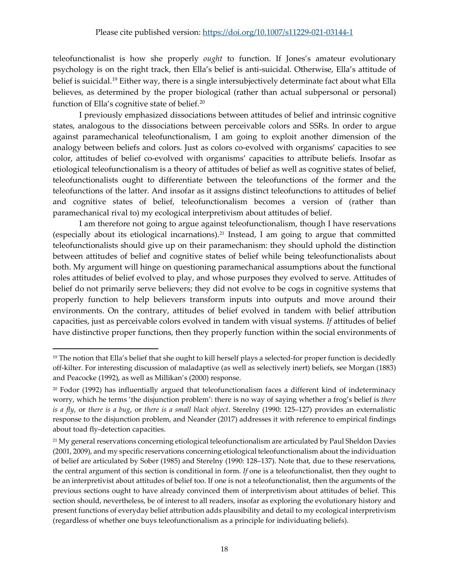teleofunctionalist is how she properly *ought* to function. If Jones's amateur evolutionary psychology is on the right track, then Ella's belief is anti-suicidal. Otherwise, Ella's attitude of belief is suicidal.<sup>[19](#page-17-0)</sup> Either way, there is a single intersubjectively determinate fact about what Ella believes, as determined by the proper biological (rather than actual subpersonal or personal) function of Ella's cognitive state of belief.<sup>20</sup>

I previously emphasized dissociations between attitudes of belief and intrinsic cognitive states, analogous to the dissociations between perceivable colors and SSRs. In order to argue against paramechanical teleofunctionalism, I am going to exploit another dimension of the analogy between beliefs and colors. Just as colors co-evolved with organisms' capacities to see color, attitudes of belief co-evolved with organisms' capacities to attribute beliefs. Insofar as etiological teleofunctionalism is a theory of attitudes of belief as well as cognitive states of belief, teleofunctionalists ought to differentiate between the teleofunctions of the former and the teleofunctions of the latter. And insofar as it assigns distinct teleofunctions to attitudes of belief and cognitive states of belief, teleofunctionalism becomes a version of (rather than paramechanical rival to) my ecological interpretivism about attitudes of belief.

I am therefore not going to argue against teleofunctionalism, though I have reservations (especially about its etiological incarnations).[21](#page-17-2) Instead, I am going to argue that committed teleofunctionalists should give up on their paramechanism: they should uphold the distinction between attitudes of belief and cognitive states of belief while being teleofunctionalists about both. My argument will hinge on questioning paramechanical assumptions about the functional roles attitudes of belief evolved to play, and whose purposes they evolved to serve. Attitudes of belief do not primarily serve believers; they did not evolve to be cogs in cognitive systems that properly function to help believers transform inputs into outputs and move around their environments. On the contrary, attitudes of belief evolved in tandem with belief attribution capacities, just as perceivable colors evolved in tandem with visual systems. *If* attitudes of belief have distinctive proper functions, then they properly function within the social environments of

<span id="page-17-0"></span><sup>&</sup>lt;sup>19</sup> The notion that Ella's belief that she ought to kill herself plays a selected-for proper function is decidedly off-kilter. For interesting discussion of maladaptive (as well as selectively inert) beliefs, see Morgan (1883) and Peacocke (1992), as well as Millikan's (2000) response.

<span id="page-17-1"></span><sup>20</sup> Fodor (1992) has influentially argued that teleofunctionalism faces a different kind of indeterminacy worry, which he terms 'the disjunction problem': there is no way of saying whether a frog's belief is *there is a fly*, or *there is a bug*, or *there is a small black object*. Sterelny (1990: 125–127) provides an externalistic response to the disjunction problem, and Neander (2017) addresses it with reference to empirical findings about toad fly-detection capacities.

<span id="page-17-2"></span><sup>&</sup>lt;sup>21</sup> My general reservations concerning etiological teleofunctionalism are articulated by Paul Sheldon Davies (2001, 2009), and my specific reservations concerning etiological teleofunctionalism about the individuation of belief are articulated by Sober (1985) and Sterelny (1990: 128–137). Note that, due to these reservations, the central argument of this section is conditional in form. *If* one is a teleofunctionalist, then they ought to be an interpretivist about attitudes of belief too. If one is not a teleofunctionalist, then the arguments of the previous sections ought to have already convinced them of interpretivism about attitudes of belief. This section should, nevertheless, be of interest to all readers, insofar as exploring the evolutionary history and present functions of everyday belief attribution adds plausibility and detail to my ecological interpretivism (regardless of whether one buys teleofunctionalism as a principle for individuating beliefs).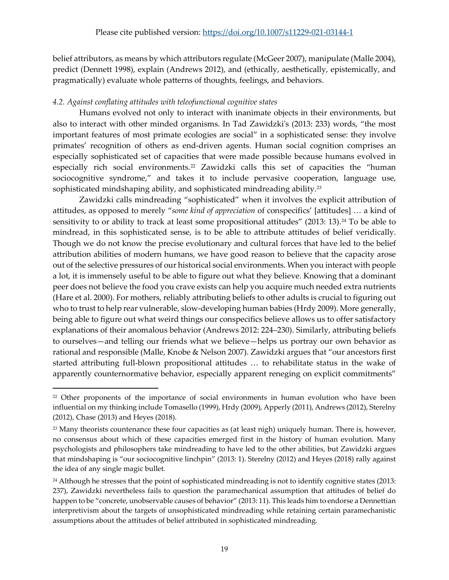belief attributors, as means by which attributors regulate (McGeer 2007), manipulate (Malle 2004), predict (Dennett 1998), explain (Andrews 2012), and (ethically, aesthetically, epistemically, and pragmatically) evaluate whole patterns of thoughts, feelings, and behaviors.

# *4.2. Against conflating attitudes with teleofunctional cognitive states*

Humans evolved not only to interact with inanimate objects in their environments, but also to interact with other minded organisms. In Tad Zawidzki's (2013: 233) words, "the most important features of most primate ecologies are social" in a sophisticated sense: they involve primates' recognition of others as end-driven agents. Human social cognition comprises an especially sophisticated set of capacities that were made possible because humans evolved in especially rich social environments.<sup>[22](#page-18-0)</sup> Zawidzki calls this set of capacities the "human sociocognitive syndrome," and takes it to include pervasive cooperation, language use, sophisticated mindshaping ability, and sophisticated mindreading ability.<sup>[23](#page-18-1)</sup>

Zawidzki calls mindreading "sophisticated" when it involves the explicit attribution of attitudes, as opposed to merely "*some kind of appreciation* of conspecifics' [attitudes] … a kind of sensitivity to or ability to track at least some propositional attitudes" (2013: 13).<sup>[24](#page-18-2)</sup> To be able to mindread, in this sophisticated sense, is to be able to attribute attitudes of belief veridically. Though we do not know the precise evolutionary and cultural forces that have led to the belief attribution abilities of modern humans, we have good reason to believe that the capacity arose out of the selective pressures of our historical social environments. When you interact with people a lot, it is immensely useful to be able to figure out what they believe. Knowing that a dominant peer does not believe the food you crave exists can help you acquire much needed extra nutrients (Hare et al. 2000). For mothers, reliably attributing beliefs to other adults is crucial to figuring out who to trust to help rear vulnerable, slow-developing human babies (Hrdy 2009). More generally, being able to figure out what weird things our conspecifics believe allows us to offer satisfactory explanations of their anomalous behavior (Andrews 2012: 224–230). Similarly, attributing beliefs to ourselves—and telling our friends what we believe—helps us portray our own behavior as rational and responsible (Malle, Knobe & Nelson 2007). Zawidzki argues that "our ancestors first started attributing full-blown propositional attitudes … to rehabilitate status in the wake of apparently counternormative behavior, especially apparent reneging on explicit commitments"

<span id="page-18-0"></span><sup>&</sup>lt;sup>22</sup> Other proponents of the importance of social environments in human evolution who have been influential on my thinking include Tomasello (1999), Hrdy (2009), Apperly (2011), Andrews (2012), Sterelny (2012), Chase (2013) and Heyes (2018).

<span id="page-18-1"></span><sup>&</sup>lt;sup>23</sup> Many theorists countenance these four capacities as (at least nigh) uniquely human. There is, however, no consensus about which of these capacities emerged first in the history of human evolution. Many psychologists and philosophers take mindreading to have led to the other abilities, but Zawidzki argues that mindshaping is "our sociocognitive linchpin" (2013: 1). Sterelny (2012) and Heyes (2018) rally against the idea of any single magic bullet.

<span id="page-18-2"></span><sup>&</sup>lt;sup>24</sup> Although he stresses that the point of sophisticated mindreading is not to identify cognitive states (2013: 237), Zawidzki nevertheless fails to question the paramechanical assumption that attitudes of belief do happen to be "concrete, unobservable causes of behavior" (2013: 11). This leads him to endorse a Dennettian interpretivism about the targets of unsophisticated mindreading while retaining certain paramechanistic assumptions about the attitudes of belief attributed in sophisticated mindreading.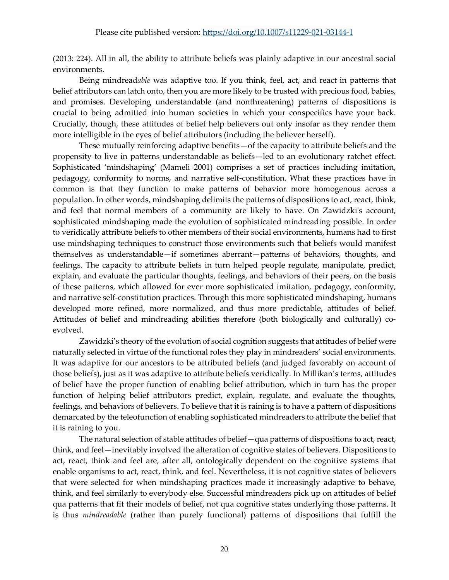(2013: 224). All in all, the ability to attribute beliefs was plainly adaptive in our ancestral social environments.

Being mindread*able* was adaptive too. If you think, feel, act, and react in patterns that belief attributors can latch onto, then you are more likely to be trusted with precious food, babies, and promises. Developing understandable (and nonthreatening) patterns of dispositions is crucial to being admitted into human societies in which your conspecifics have your back. Crucially, though, these attitudes of belief help believers out only insofar as they render them more intelligible in the eyes of belief attributors (including the believer herself).

These mutually reinforcing adaptive benefits—of the capacity to attribute beliefs and the propensity to live in patterns understandable as beliefs—led to an evolutionary ratchet effect. Sophisticated 'mindshaping' (Mameli 2001) comprises a set of practices including imitation, pedagogy, conformity to norms, and narrative self-constitution. What these practices have in common is that they function to make patterns of behavior more homogenous across a population. In other words, mindshaping delimits the patterns of dispositions to act, react, think, and feel that normal members of a community are likely to have. On Zawidzki's account, sophisticated mindshaping made the evolution of sophisticated mindreading possible. In order to veridically attribute beliefs to other members of their social environments, humans had to first use mindshaping techniques to construct those environments such that beliefs would manifest themselves as understandable—if sometimes aberrant—patterns of behaviors, thoughts, and feelings. The capacity to attribute beliefs in turn helped people regulate, manipulate, predict, explain, and evaluate the particular thoughts, feelings, and behaviors of their peers, on the basis of these patterns, which allowed for ever more sophisticated imitation, pedagogy, conformity, and narrative self-constitution practices. Through this more sophisticated mindshaping, humans developed more refined, more normalized, and thus more predictable, attitudes of belief. Attitudes of belief and mindreading abilities therefore (both biologically and culturally) coevolved.

Zawidzki's theory of the evolution of social cognition suggests that attitudes of belief were naturally selected in virtue of the functional roles they play in mindreaders' social environments. It was adaptive for our ancestors to be attributed beliefs (and judged favorably on account of those beliefs), just as it was adaptive to attribute beliefs veridically. In Millikan's terms, attitudes of belief have the proper function of enabling belief attribution, which in turn has the proper function of helping belief attributors predict, explain, regulate, and evaluate the thoughts, feelings, and behaviors of believers. To believe that it is raining is to have a pattern of dispositions demarcated by the teleofunction of enabling sophisticated mindreaders to attribute the belief that it is raining to you.

The natural selection of stable attitudes of belief—qua patterns of dispositions to act, react, think, and feel—inevitably involved the alteration of cognitive states of believers. Dispositions to act, react, think and feel are, after all, ontologically dependent on the cognitive systems that enable organisms to act, react, think, and feel. Nevertheless, it is not cognitive states of believers that were selected for when mindshaping practices made it increasingly adaptive to behave, think, and feel similarly to everybody else. Successful mindreaders pick up on attitudes of belief qua patterns that fit their models of belief, not qua cognitive states underlying those patterns. It is thus *mindreadable* (rather than purely functional) patterns of dispositions that fulfill the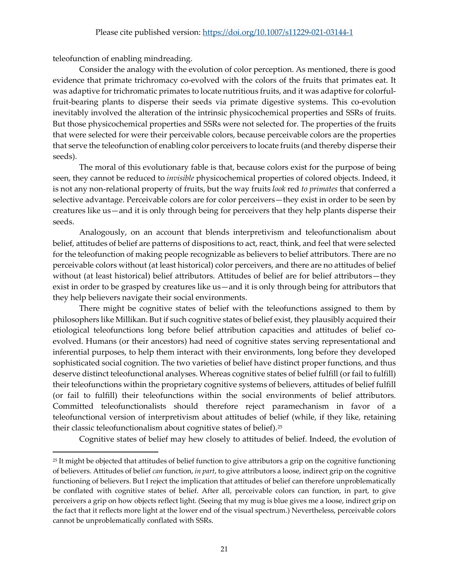teleofunction of enabling mindreading.

Consider the analogy with the evolution of color perception. As mentioned, there is good evidence that primate trichromacy co-evolved with the colors of the fruits that primates eat. It was adaptive for trichromatic primates to locate nutritious fruits, and it was adaptive for colorfulfruit-bearing plants to disperse their seeds via primate digestive systems. This co-evolution inevitably involved the alteration of the intrinsic physicochemical properties and SSRs of fruits. But those physicochemical properties and SSRs were not selected for. The properties of the fruits that were selected for were their perceivable colors, because perceivable colors are the properties that serve the teleofunction of enabling color perceivers to locate fruits (and thereby disperse their seeds).

The moral of this evolutionary fable is that, because colors exist for the purpose of being seen, they cannot be reduced to *invisible* physicochemical properties of colored objects. Indeed, it is not any non-relational property of fruits, but the way fruits *look* red *to primates* that conferred a selective advantage. Perceivable colors are for color perceivers—they exist in order to be seen by creatures like us—and it is only through being for perceivers that they help plants disperse their seeds.

Analogously, on an account that blends interpretivism and teleofunctionalism about belief, attitudes of belief are patterns of dispositions to act, react, think, and feel that were selected for the teleofunction of making people recognizable as believers to belief attributors. There are no perceivable colors without (at least historical) color perceivers, and there are no attitudes of belief without (at least historical) belief attributors. Attitudes of belief are for belief attributors—they exist in order to be grasped by creatures like us—and it is only through being for attributors that they help believers navigate their social environments.

There might be cognitive states of belief with the teleofunctions assigned to them by philosophers like Millikan. But if such cognitive states of belief exist, they plausibly acquired their etiological teleofunctions long before belief attribution capacities and attitudes of belief coevolved. Humans (or their ancestors) had need of cognitive states serving representational and inferential purposes, to help them interact with their environments, long before they developed sophisticated social cognition. The two varieties of belief have distinct proper functions, and thus deserve distinct teleofunctional analyses. Whereas cognitive states of belief fulfill (or fail to fulfill) their teleofunctions within the proprietary cognitive systems of believers, attitudes of belief fulfill (or fail to fulfill) their teleofunctions within the social environments of belief attributors. Committed teleofunctionalists should therefore reject paramechanism in favor of a teleofunctional version of interpretivism about attitudes of belief (while, if they like, retaining their classic teleofunctionalism about cognitive states of belief).[25](#page-20-0)

Cognitive states of belief may hew closely to attitudes of belief. Indeed, the evolution of

<span id="page-20-0"></span> $25$  It might be objected that attitudes of belief function to give attributors a grip on the cognitive functioning of believers. Attitudes of belief *can* function, *in part*, to give attributors a loose, indirect grip on the cognitive functioning of believers. But I reject the implication that attitudes of belief can therefore unproblematically be conflated with cognitive states of belief. After all, perceivable colors can function, in part, to give perceivers a grip on how objects reflect light. (Seeing that my mug is blue gives me a loose, indirect grip on the fact that it reflects more light at the lower end of the visual spectrum.) Nevertheless, perceivable colors cannot be unproblematically conflated with SSRs.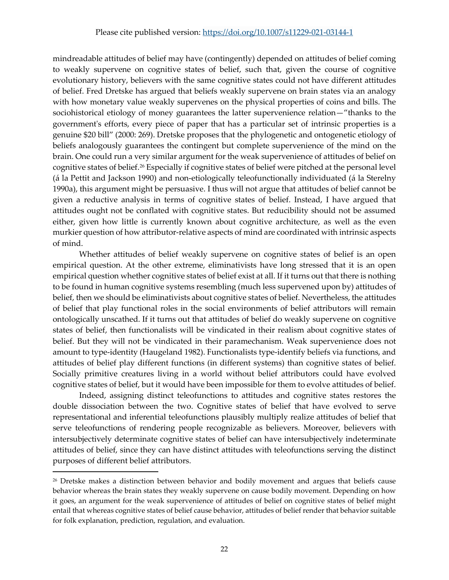## Please cite published version:<https://doi.org/10.1007/s11229-021-03144-1>

mindreadable attitudes of belief may have (contingently) depended on attitudes of belief coming to weakly supervene on cognitive states of belief, such that, given the course of cognitive evolutionary history, believers with the same cognitive states could not have different attitudes of belief. Fred Dretske has argued that beliefs weakly supervene on brain states via an analogy with how monetary value weakly supervenes on the physical properties of coins and bills. The sociohistorical etiology of money guarantees the latter supervenience relation—"thanks to the government's efforts, every piece of paper that has a particular set of intrinsic properties is a genuine \$20 bill" (2000: 269). Dretske proposes that the phylogenetic and ontogenetic etiology of beliefs analogously guarantees the contingent but complete supervenience of the mind on the brain. One could run a very similar argument for the weak supervenience of attitudes of belief on cognitive states of belief.[26](#page-21-0) Especially if cognitive states of belief were pitched at the personal level (á la Pettit and Jackson 1990) and non-etiologically teleofunctionally individuated (á la Sterelny 1990a), this argument might be persuasive. I thus will not argue that attitudes of belief cannot be given a reductive analysis in terms of cognitive states of belief. Instead, I have argued that attitudes ought not be conflated with cognitive states. But reducibility should not be assumed either, given how little is currently known about cognitive architecture, as well as the even murkier question of how attributor-relative aspects of mind are coordinated with intrinsic aspects of mind.

Whether attitudes of belief weakly supervene on cognitive states of belief is an open empirical question. At the other extreme, eliminativists have long stressed that it is an open empirical question whether cognitive states of belief exist at all. If it turns out that there is nothing to be found in human cognitive systems resembling (much less supervened upon by) attitudes of belief, then we should be eliminativists about cognitive states of belief. Nevertheless, the attitudes of belief that play functional roles in the social environments of belief attributors will remain ontologically unscathed. If it turns out that attitudes of belief do weakly supervene on cognitive states of belief, then functionalists will be vindicated in their realism about cognitive states of belief. But they will not be vindicated in their paramechanism. Weak supervenience does not amount to type-identity (Haugeland 1982). Functionalists type-identify beliefs via functions, and attitudes of belief play different functions (in different systems) than cognitive states of belief. Socially primitive creatures living in a world without belief attributors could have evolved cognitive states of belief, but it would have been impossible for them to evolve attitudes of belief.

Indeed, assigning distinct teleofunctions to attitudes and cognitive states restores the double dissociation between the two. Cognitive states of belief that have evolved to serve representational and inferential teleofunctions plausibly multiply realize attitudes of belief that serve teleofunctions of rendering people recognizable as believers. Moreover, believers with intersubjectively determinate cognitive states of belief can have intersubjectively indeterminate attitudes of belief, since they can have distinct attitudes with teleofunctions serving the distinct purposes of different belief attributors.

<span id="page-21-0"></span><sup>&</sup>lt;sup>26</sup> Dretske makes a distinction between behavior and bodily movement and argues that beliefs cause behavior whereas the brain states they weakly supervene on cause bodily movement. Depending on how it goes, an argument for the weak supervenience of attitudes of belief on cognitive states of belief might entail that whereas cognitive states of belief cause behavior, attitudes of belief render that behavior suitable for folk explanation, prediction, regulation, and evaluation.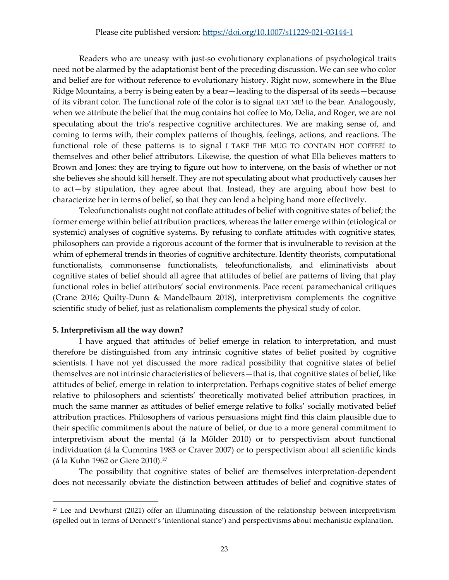#### Please cite published version:<https://doi.org/10.1007/s11229-021-03144-1>

Readers who are uneasy with just-so evolutionary explanations of psychological traits need not be alarmed by the adaptationist bent of the preceding discussion. We can see who color and belief are for without reference to evolutionary history. Right now, somewhere in the Blue Ridge Mountains, a berry is being eaten by a bear—leading to the dispersal of its seeds—because of its vibrant color. The functional role of the color is to signal EAT ME! to the bear. Analogously, when we attribute the belief that the mug contains hot coffee to Mo, Delia, and Roger, we are not speculating about the trio's respective cognitive architectures. We are making sense of, and coming to terms with, their complex patterns of thoughts, feelings, actions, and reactions. The functional role of these patterns is to signal I TAKE THE MUG TO CONTAIN HOT COFFEE! to themselves and other belief attributors. Likewise, the question of what Ella believes matters to Brown and Jones: they are trying to figure out how to intervene, on the basis of whether or not she believes she should kill herself. They are not speculating about what productively causes her to act—by stipulation, they agree about that. Instead, they are arguing about how best to characterize her in terms of belief, so that they can lend a helping hand more effectively.

Teleofunctionalists ought not conflate attitudes of belief with cognitive states of belief; the former emerge within belief attribution practices, whereas the latter emerge within (etiological or systemic) analyses of cognitive systems. By refusing to conflate attitudes with cognitive states, philosophers can provide a rigorous account of the former that is invulnerable to revision at the whim of ephemeral trends in theories of cognitive architecture. Identity theorists, computational functionalists, commonsense functionalists, teleofunctionalists, and eliminativists about cognitive states of belief should all agree that attitudes of belief are patterns of living that play functional roles in belief attributors' social environments. Pace recent paramechanical critiques (Crane 2016; Quilty-Dunn & Mandelbaum 2018), interpretivism complements the cognitive scientific study of belief, just as relationalism complements the physical study of color.

#### **5. Interpretivism all the way down?**

I have argued that attitudes of belief emerge in relation to interpretation, and must therefore be distinguished from any intrinsic cognitive states of belief posited by cognitive scientists. I have not yet discussed the more radical possibility that cognitive states of belief themselves are not intrinsic characteristics of believers—that is, that cognitive states of belief, like attitudes of belief, emerge in relation to interpretation. Perhaps cognitive states of belief emerge relative to philosophers and scientists' theoretically motivated belief attribution practices, in much the same manner as attitudes of belief emerge relative to folks' socially motivated belief attribution practices. Philosophers of various persuasions might find this claim plausible due to their specific commitments about the nature of belief, or due to a more general commitment to interpretivism about the mental (á la Mölder 2010) or to perspectivism about functional individuation (á la Cummins 1983 or Craver 2007) or to perspectivism about all scientific kinds (á la Kuhn 1962 or Giere 2010).[27](#page-22-0)

The possibility that cognitive states of belief are themselves interpretation-dependent does not necessarily obviate the distinction between attitudes of belief and cognitive states of

<span id="page-22-0"></span><sup>27</sup> Lee and Dewhurst (2021) offer an illuminating discussion of the relationship between interpretivism (spelled out in terms of Dennett's 'intentional stance') and perspectivisms about mechanistic explanation.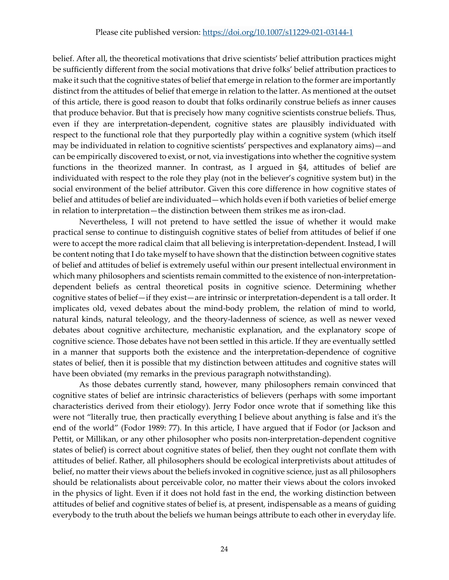belief. After all, the theoretical motivations that drive scientists' belief attribution practices might be sufficiently different from the social motivations that drive folks' belief attribution practices to make it such that the cognitive states of belief that emerge in relation to the former are importantly distinct from the attitudes of belief that emerge in relation to the latter. As mentioned at the outset of this article, there is good reason to doubt that folks ordinarily construe beliefs as inner causes that produce behavior. But that is precisely how many cognitive scientists construe beliefs. Thus, even if they are interpretation-dependent, cognitive states are plausibly individuated with respect to the functional role that they purportedly play within a cognitive system (which itself may be individuated in relation to cognitive scientists' perspectives and explanatory aims)—and can be empirically discovered to exist, or not, via investigations into whether the cognitive system functions in the theorized manner. In contrast, as I argued in §4, attitudes of belief are individuated with respect to the role they play (not in the believer's cognitive system but) in the social environment of the belief attributor. Given this core difference in how cognitive states of belief and attitudes of belief are individuated—which holds even if both varieties of belief emerge in relation to interpretation—the distinction between them strikes me as iron-clad.

Nevertheless, I will not pretend to have settled the issue of whether it would make practical sense to continue to distinguish cognitive states of belief from attitudes of belief if one were to accept the more radical claim that all believing is interpretation-dependent. Instead, I will be content noting that I do take myself to have shown that the distinction between cognitive states of belief and attitudes of belief is extremely useful within our present intellectual environment in which many philosophers and scientists remain committed to the existence of non-interpretationdependent beliefs as central theoretical posits in cognitive science. Determining whether cognitive states of belief—if they exist—are intrinsic or interpretation-dependent is a tall order. It implicates old, vexed debates about the mind-body problem, the relation of mind to world, natural kinds, natural teleology, and the theory-ladenness of science, as well as newer vexed debates about cognitive architecture, mechanistic explanation, and the explanatory scope of cognitive science. Those debates have not been settled in this article. If they are eventually settled in a manner that supports both the existence and the interpretation-dependence of cognitive states of belief, then it is possible that my distinction between attitudes and cognitive states will have been obviated (my remarks in the previous paragraph notwithstanding).

As those debates currently stand, however, many philosophers remain convinced that cognitive states of belief are intrinsic characteristics of believers (perhaps with some important characteristics derived from their etiology). Jerry Fodor once wrote that if something like this were not "literally true, then practically everything I believe about anything is false and it's the end of the world" (Fodor 1989: 77). In this article, I have argued that if Fodor (or Jackson and Pettit, or Millikan, or any other philosopher who posits non-interpretation-dependent cognitive states of belief) is correct about cognitive states of belief, then they ought not conflate them with attitudes of belief. Rather, all philosophers should be ecological interpretivists about attitudes of belief, no matter their views about the beliefs invoked in cognitive science, just as all philosophers should be relationalists about perceivable color, no matter their views about the colors invoked in the physics of light. Even if it does not hold fast in the end, the working distinction between attitudes of belief and cognitive states of belief is, at present, indispensable as a means of guiding everybody to the truth about the beliefs we human beings attribute to each other in everyday life.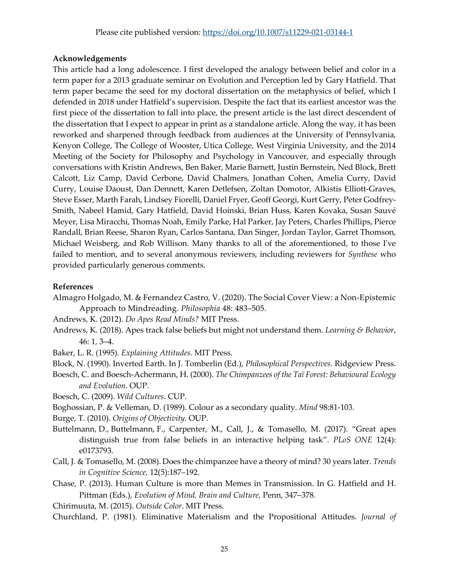# **Acknowledgements**

This article had a long adolescence. I first developed the analogy between belief and color in a term paper for a 2013 graduate seminar on Evolution and Perception led by Gary Hatfield. That term paper became the seed for my doctoral dissertation on the metaphysics of belief, which I defended in 2018 under Hatfield's supervision. Despite the fact that its earliest ancestor was the first piece of the dissertation to fall into place, the present article is the last direct descendent of the dissertation that I expect to appear in print as a standalone article. Along the way, it has been reworked and sharpened through feedback from audiences at the University of Pennsylvania, Kenyon College, The College of Wooster, Utica College, West Virginia University, and the 2014 Meeting of the Society for Philosophy and Psychology in Vancouver, and especially through conversations with Kristin Andrews, Ben Baker, Marie Barnett, Justin Bernstein, Ned Block, Brett Calcott, Liz Camp, David Cerbone, David Chalmers, Jonathan Cohen, Amelia Curry, David Curry, Louise Daoust, Dan Dennett, Karen Detlefsen, Zoltan Domotor, Alkistis Elliott-Graves, Steve Esser, Marth Farah, Lindsey Fiorelli, Daniel Fryer, Geoff Georgi, Kurt Gerry, Peter Godfrey-Smith, Nabeel Hamid, Gary Hatfield, David Hoinski, Brian Huss, Karen Kovaka, Susan Sauvé Meyer, Lisa Miracchi, Thomas Noah, Emily Parke, Hal Parker, Jay Peters, Charles Phillips, Pierce Randall, Brian Reese, Sharon Ryan, Carlos Santana, Dan Singer, Jordan Taylor, Garret Thomson, Michael Weisberg, and Rob Willison. Many thanks to all of the aforementioned, to those I've failed to mention, and to several anonymous reviewers, including reviewers for *Synthese* who provided particularly generous comments.

# **References**

- Almagro Holgado, M. & Fernandez Castro, V. (2020). The Social Cover View: a Non-Epistemic Approach to Mindreading. *Philosophia* 48: 483–505.
- Andrews, K. (2012). *Do Apes Read Minds?* MIT Press.
- Andrews, K. (2018). Apes track false beliefs but might not understand them. *Learning & Behavior*, 46: 1, 3–4.
- Baker, L. R. (1995). *Explaining Attitudes.* MIT Press.
- Block, N. (1990). Inverted Earth. In J. Tomberlin (Ed.), *Philosophical Perspectives*. Ridgeview Press.
- Boesch, C. and Boesch-Achermann, H. (2000). *The Chimpanzees of the Taï Forest: Behavioural Ecology and Evolution.* OUP.
- Boesch, C. (2009). *Wild Cultures*. CUP.
- Boghossian, P. & Velleman, D. (1989). Colour as a secondary quality. *Mind* 98:81-103.
- Burge, T. (2010). *Origins of Objectivity*. OUP.
- Buttelmann, D., Buttelmann, F., Carpenter, M., Call, J., & Tomasello, M. (2017). "Great apes distinguish true from false beliefs in an interactive helping task". *PLoS ONE* 12(4): e0173793.
- Call, J. & Tomasello, M. (2008). Does the chimpanzee have a theory of mind? 30 years later. *Trends in Cognitive Science,* 12(5):187–192.
- Chase, P. (2013). Human Culture is more than Memes in Transmission. In G. Hatfield and H. Pittman (Eds.), *Evolution of Mind, Brain and Culture,* Penn, 347–378.
- Chirimuuta, M. (2015). *Outside Color*. MIT Press.
- Churchland, P. (1981). Eliminative Materialism and the Propositional Attitudes. *Journal of*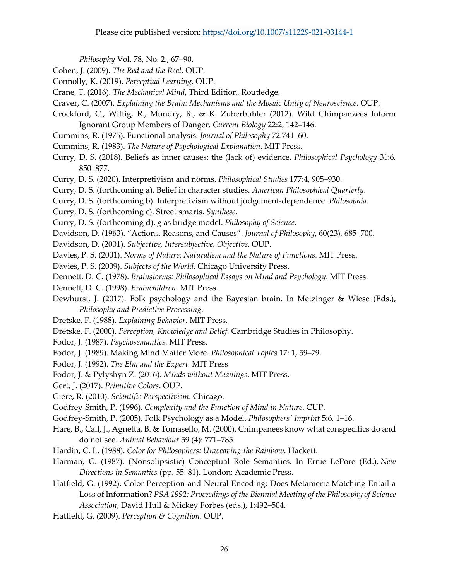*Philosophy* Vol. 78, No. 2., 67–90.

- Cohen, J. (2009). *The Red and the Real.* OUP.
- Connolly, K. (2019). *Perceptual Learning*. OUP.
- Crane, T. (2016). *The Mechanical Mind*, Third Edition. Routledge.
- Craver, C. (2007). *Explaining the Brain: Mechanisms and the Mosaic Unity of Neuroscience*. OUP.
- Crockford, C., Wittig, R., Mundry, R., & K. Zuberbuhler (2012). Wild Chimpanzees Inform Ignorant Group Members of Danger. *Current Biology* 22:2, 142–146.
- Cummins, R. (1975). Functional analysis. *Journal of Philosophy* 72:741–60.
- Cummins, R. (1983). *The Nature of Psychological Explanation*. MIT Press.
- Curry, D. S. (2018). Beliefs as inner causes: the (lack of) evidence. *Philosophical Psychology* 31:6, 850–877.
- Curry, D. S. (2020). Interpretivism and norms. *Philosophical Studies* 177:4, 905–930.
- Curry, D. S. (forthcoming a). Belief in character studies. *American Philosophical Quarterly*.
- Curry, D. S. (forthcoming b). Interpretivism without judgement-dependence. *Philosophia*.
- Curry, D. S. (forthcoming c). Street smarts. *Synthese*.
- Curry, D. S. (forthcoming d). *g* as bridge model. *Philosophy of Science*.
- Davidson, D. (1963). "Actions, Reasons, and Causes". *Journal of Philosophy*, 60(23), 685–700.
- Davidson, D. (2001). *Subjective, Intersubjective, Objective*. OUP.
- Davies, P. S. (2001). *Norms of Nature: Naturalism and the Nature of Functions.* MIT Press.
- Davies, P. S. (2009). *Subjects of the World.* Chicago University Press.
- Dennett, D. C. (1978). *Brainstorms: Philosophical Essays on Mind and Psychology*. MIT Press.
- Dennett, D. C. (1998). *Brainchildren*. MIT Press.
- Dewhurst, J. (2017). Folk psychology and the Bayesian brain. In Metzinger & Wiese (Eds.), *Philosophy and Predictive Processing*.
- Dretske, F. (1988). *Explaining Behavior.* MIT Press.
- Dretske, F. (2000). *Perception, Knowledge and Belief.* Cambridge Studies in Philosophy.
- Fodor, J. (1987). *Psychosemantics.* MIT Press.
- Fodor, J. (1989). Making Mind Matter More. *Philosophical Topics* 17: 1, 59–79.
- Fodor, J. (1992). *The Elm and the Expert.* MIT Press
- Fodor, J. & Pylyshyn Z. (2016). *Minds without Meanings*. MIT Press.
- Gert, J. (2017). *Primitive Colors*. OUP.
- Giere, R. (2010). *Scientific Perspectivism*. Chicago.
- Godfrey-Smith, P. (1996). *Complexity and the Function of Mind in Nature*. CUP.
- Godfrey-Smith, P. (2005). Folk Psychology as a Model. *Philosophers' Imprint* 5:6, 1–16.
- Hare, B., Call, J., Agnetta, B. & Tomasello, M. (2000). Chimpanees know what conspecifics do and do not see. *Animal Behaviour* 59 (4): 771–785.
- Hardin, C. L. (1988). *Color for Philosophers: Unweaving the Rainbow*. Hackett.
- Harman, G. (1987). (Nonsolipsistic) Conceptual Role Semantics. In Ernie LePore (Ed.), *New Directions in Semantics* (pp. 55–81). London: Academic Press.
- Hatfield, G. (1992). Color Perception and Neural Encoding: Does Metameric Matching Entail a Loss of Information? *PSA 1992: Proceedings of the Biennial Meeting of the Philosophy of Science Association*, David Hull & Mickey Forbes (eds.), 1:492–504.
- Hatfield, G. (2009). *Perception & Cognition*. OUP.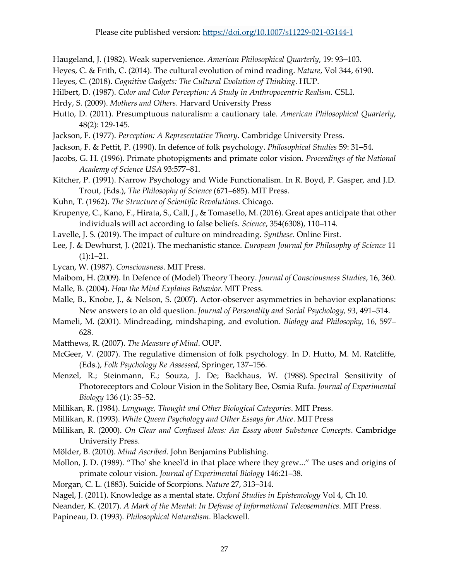Haugeland, J. (1982). Weak supervenience. *American Philosophical Quarterly*, 19: 93–103.

Heyes, C. & Frith, C. (2014). The cultural evolution of mind reading. *Nature*, Vol 344, 6190.

- Heyes, C. (2018). *Cognitive Gadgets: The Cultural Evolution of Thinking*. HUP.
- Hilbert, D. (1987). *Color and Color Perception: A Study in Anthropocentric Realism.* CSLI.
- Hrdy, S. (2009). *Mothers and Others*. Harvard University Press
- Hutto, D. (2011). Presumptuous naturalism: a cautionary tale. *American Philosophical Quarterly*, 48(2): 129-145.
- Jackson, F. (1977). *Perception: A Representative Theory*. Cambridge University Press.
- Jackson, F. & Pettit, P. (1990). In defence of folk psychology. *Philosophical Studies* 59: 31–54.
- Jacobs, G. H. (1996). Primate photopigments and primate color vision. *Proceedings of the National Academy of Science USA* 93:577–81.
- Kitcher, P. (1991). Narrow Psychology and Wide Functionalism. In R. Boyd, P. Gasper, and J.D. Trout, (Eds.), *The Philosophy of Science* (671–685). MIT Press.
- Kuhn, T. (1962). *The Structure of Scientific Revolutions*. Chicago.
- Krupenye, C., Kano, F., Hirata, S., Call, J., & Tomasello, M. (2016). Great apes anticipate that other individuals will act according to false beliefs. *Science*, 354(6308), 110–114.
- Lavelle, J. S. (2019). The impact of culture on mindreading. *Synthese*. Online First.
- Lee, J. & Dewhurst, J. (2021). The mechanistic stance. *European Journal for Philosophy of Science* 11  $(1):1-21.$
- Lycan, W. (1987). *Consciousness*. MIT Press.
- Maibom, H. (2009). In Defence of (Model) Theory Theory. *Journal of Consciousness Studies*, 16, 360.
- Malle, B. (2004). *How the Mind Explains Behavior*. MIT Press.
- Malle, B., Knobe, J., & Nelson, S. (2007). Actor-observer asymmetries in behavior explanations: New answers to an old question. *Journal of Personality and Social Psychology, 93*, 491–514.
- Mameli, M. (2001). Mindreading, mindshaping, and evolution. *Biology and Philosophy,* 16, 597– 628.
- Matthews, R. (2007). *The Measure of Mind*. OUP.
- McGeer, V. (2007). The regulative dimension of folk psychology. In D. Hutto, M. M. Ratcliffe, (Eds.), *Folk Psychology Re Assessed*, Springer, 137–156.
- Menzel, R.; Steinmann, E.; Souza, J. De; Backhaus, W. (1988). Spectral Sensitivity of Photoreceptors and Colour Vision in the Solitary Bee, Osmia Rufa. *Journal of Experimental Biology* 136 (1): 35–52.
- Millikan, R. (1984). *Language, Thought and Other Biological Categories*. MIT Press.
- Millikan, R. (1993). *White Queen Psychology and Other Essays for Alice*. MIT Press
- Millikan, R. (2000). *On Clear and Confused Ideas: An Essay about Substance Concepts*. Cambridge University Press.
- Mölder, B. (2010). *Mind Ascribed*. John Benjamins Publishing.
- Mollon, J. D. (1989). "Tho' she kneel'd in that place where they grew..." The uses and origins of primate colour vision. *Journal of Experimental Biology* 146:21–38.
- Morgan, C. L. (1883). Suicide of Scorpions. *Nature* 27, 313–314.
- Nagel, J. (2011). Knowledge as a mental state. *Oxford Studies in Epistemology* Vol 4, Ch 10.
- Neander, K. (2017). *A Mark of the Mental: In Defense of Informational Teleosemantics*. MIT Press.
- Papineau, D. (1993). *Philosophical Naturalism*. Blackwell.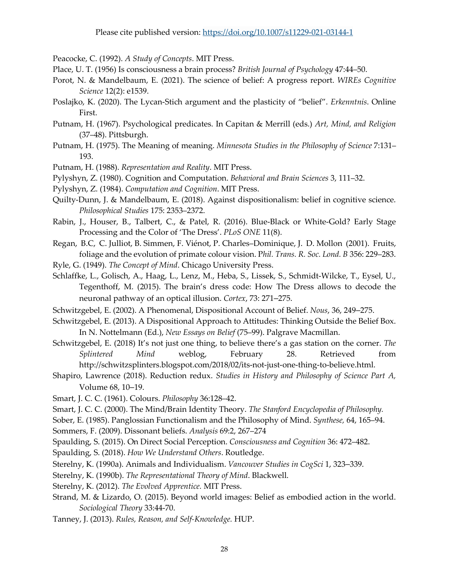Peacocke, C. (1992). *A Study of Concepts*. MIT Press.

- Place, U. T. (1956) Is consciousness a brain process? *British Journal of Psychology* 47:44–50.
- Porot, N. & Mandelbaum, E. (2021). The science of belief: A progress report. *WIREs Cognitive Science* 12(2): e1539.
- Poslajko, K. (2020). The Lycan-Stich argument and the plasticity of "belief". *Erkenntnis*. Online First.
- Putnam, H. (1967). Psychological predicates. In Capitan & Merrill (eds.) *Art, Mind, and Religion*  (37–48). Pittsburgh.
- Putnam, H. (1975). The Meaning of meaning. *Minnesota Studies in the Philosophy of Science* 7:131– 193.
- Putnam, H. (1988). *Representation and Reality*. MIT Press.
- Pylyshyn, Z. (1980). Cognition and Computation. *Behavioral and Brain Sciences* 3, 111–32.
- Pylyshyn, Z. (1984). *Computation and Cognition*. MIT Press.
- Quilty-Dunn, J. & Mandelbaum, E. (2018). Against dispositionalism: belief in cognitive science. *Philosophical Studies* 175: 2353–2372.
- Rabin, J., Houser, B., Talbert, C., & Patel, R. (2016). Blue-Black or White-Gold? Early Stage Processing and the Color of 'The Dress'. *PLoS ONE* 11(8).
- Regan, B.C, C. Julliot, B. Simmen, F. Viénot, P. Charles–Dominique, J. D. Mollon (2001). Fruits, foliage and the evolution of primate colour vision. P*hil. Trans. R. Soc. Lond. B* 356: 229–283.
- Ryle, G. (1949). *The Concept of Mind*. Chicago University Press.
- Schlaffke, L., Golisch, A., Haag, L., Lenz, M., Heba, S., Lissek, S., Schmidt-Wilcke, T., Eysel, U., Tegenthoff, M. (2015). The brain's dress code: How The Dress allows to decode the neuronal pathway of an optical illusion. *Cortex*, 73: 271–275.
- Schwitzgebel, E. (2002). A Phenomenal, Dispositional Account of Belief. *Nous*, 36, 249–275.
- Schwitzgebel, E. (2013). A Dispositional Approach to Attitudes: Thinking Outside the Belief Box. In N. Nottelmann (Ed.), *New Essays on Belief* (75–99). Palgrave Macmillan.
- Schwitzgebel, E. (2018) It's not just one thing, to believe there's a gas station on the corner. *The Splintered Mind* weblog, February 28. Retrieved from http://schwitzsplinters.blogspot.com/2018/02/its-not-just-one-thing-to-believe.html.
- Shapiro, Lawrence (2018). Reduction redux. *Studies in History and Philosophy of Science Part A,* Volume 68, 10–19.
- Smart, J. C. C. (1961). Colours. *Philosophy* 36:128–42.
- Smart, J. C. C. (2000). The Mind/Brain Identity Theory. *The Stanford Encyclopedia of Philosophy.*
- Sober, E. (1985). Panglossian Functionalism and the Philosophy of Mind. *Synthese,* 64, 165–94.
- Sommers, F. (2009). Dissonant beliefs. *Analysis* 69:2, 267–274
- Spaulding, S. (2015). On Direct Social Perception. *Consciousness and Cognition* 36: 472–482.
- Spaulding, S. (2018). *How We Understand Others*. Routledge.
- Sterelny, K. (1990a). Animals and Individualism. *Vancouver Studies in CogSci* 1, 323–339.
- Sterelny, K. (1990b). *The Representational Theory of Mind*. Blackwell.
- Sterelny, K. (2012). *The Evolved Apprentice.* MIT Press.
- Strand, M. & Lizardo, O. (2015). Beyond world images: Belief as embodied action in the world. *Sociological Theory* 33:44-70.
- Tanney, J. (2013). *Rules, Reason, and Self-Knowledge.* HUP.